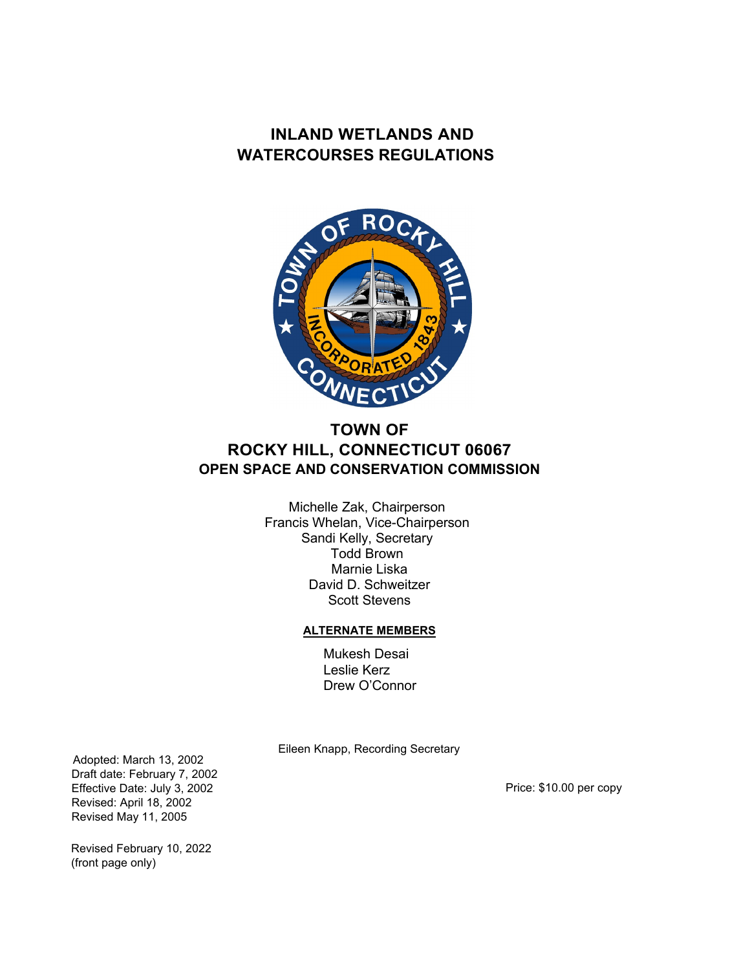

# **TOWN OF ROCKY HILL, CONNECTICUT 06067 OPEN SPACE AND CONSERVATION COMMISSION**

Michelle Zak, Chairperson Francis Whelan, Vice-Chairperson Sandi Kelly, Secretary Todd Brown Marnie Liska David D. Schweitzer Scott Stevens

#### **ALTERNATE MEMBERS**

Mukesh Desai Leslie Kerz Drew O'Connor

Eileen Knapp, Recording Secretary

Adopted: March 13, 2002 Draft date: February 7, 2002 Effective Date: July 3, 2002 Revised: April 18, 2002 Revised May 11, 2005

Price: \$10.00 per copy

Revised February 10, 2022 (front page only)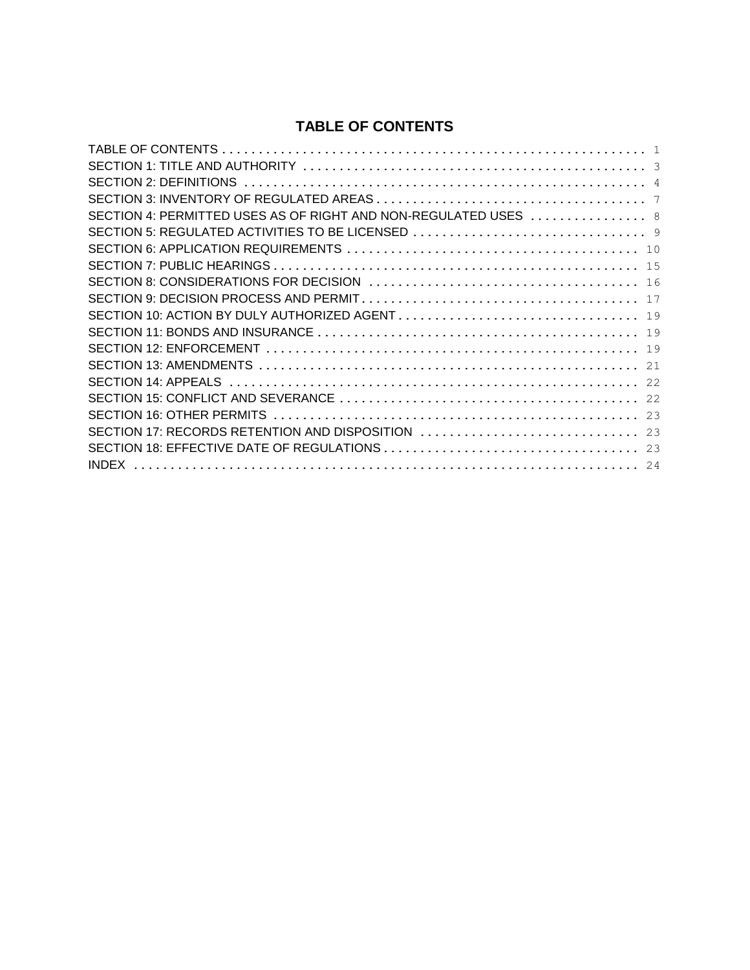### **TABLE OF CONTENTS**

| SECTION 4: PERMITTED USES AS OF RIGHT AND NON-REGULATED USES  8 |
|-----------------------------------------------------------------|
| SECTION 5: REGULATED ACTIVITIES TO BE LICENSED                  |
|                                                                 |
|                                                                 |
|                                                                 |
|                                                                 |
|                                                                 |
|                                                                 |
|                                                                 |
|                                                                 |
|                                                                 |
|                                                                 |
|                                                                 |
| SECTION 17: RECORDS RETENTION AND DISPOSITION  23               |
|                                                                 |
|                                                                 |
|                                                                 |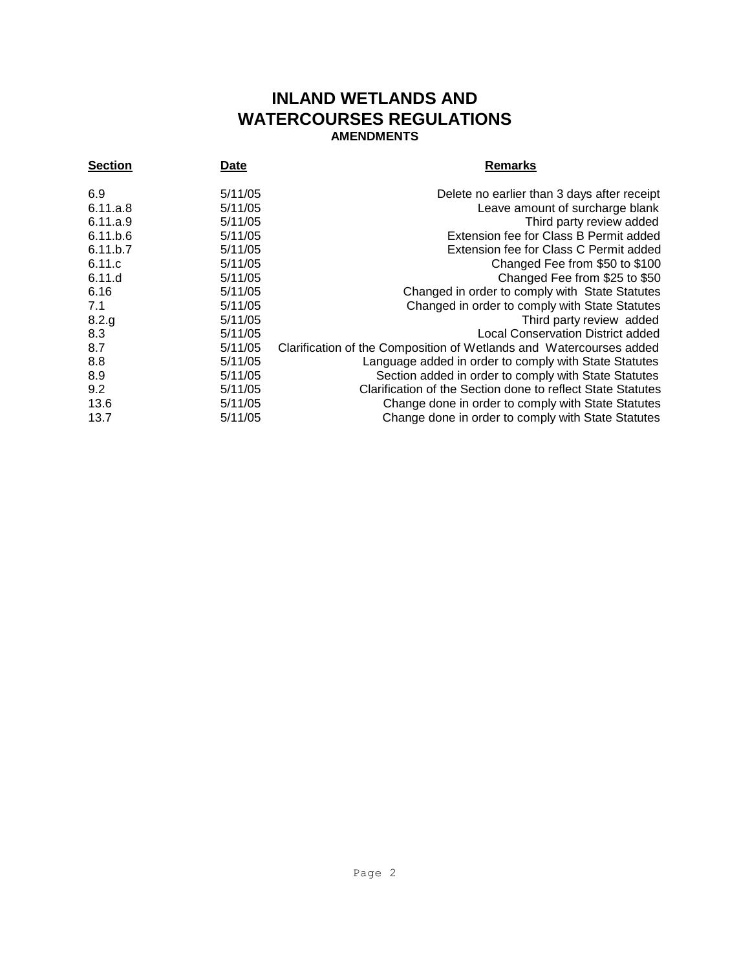## **INLAND WETLANDS AND WATERCOURSES REGULATIONS AMENDMENTS**

| <b>Section</b> | Date    | <b>Remarks</b>                                                      |
|----------------|---------|---------------------------------------------------------------------|
| 6.9            | 5/11/05 | Delete no earlier than 3 days after receipt                         |
| 6.11.a.8       | 5/11/05 | Leave amount of surcharge blank                                     |
| 6.11.a.9       | 5/11/05 | Third party review added                                            |
| 6.11.b.6       | 5/11/05 | Extension fee for Class B Permit added                              |
| 6.11.b.7       | 5/11/05 | Extension fee for Class C Permit added                              |
| 6.11.c         | 5/11/05 | Changed Fee from \$50 to \$100                                      |
| 6.11.d         | 5/11/05 | Changed Fee from \$25 to \$50                                       |
| 6.16           | 5/11/05 | Changed in order to comply with State Statutes                      |
| 7.1            | 5/11/05 | Changed in order to comply with State Statutes                      |
| 8.2.g          | 5/11/05 | Third party review added                                            |
| 8.3            | 5/11/05 | <b>Local Conservation District added</b>                            |
| 8.7            | 5/11/05 | Clarification of the Composition of Wetlands and Watercourses added |
| 8.8            | 5/11/05 | Language added in order to comply with State Statutes               |
| 8.9            | 5/11/05 | Section added in order to comply with State Statutes                |
| 9.2            | 5/11/05 | Clarification of the Section done to reflect State Statutes         |
| 13.6           | 5/11/05 | Change done in order to comply with State Statutes                  |
| 13.7           | 5/11/05 | Change done in order to comply with State Statutes                  |
|                |         |                                                                     |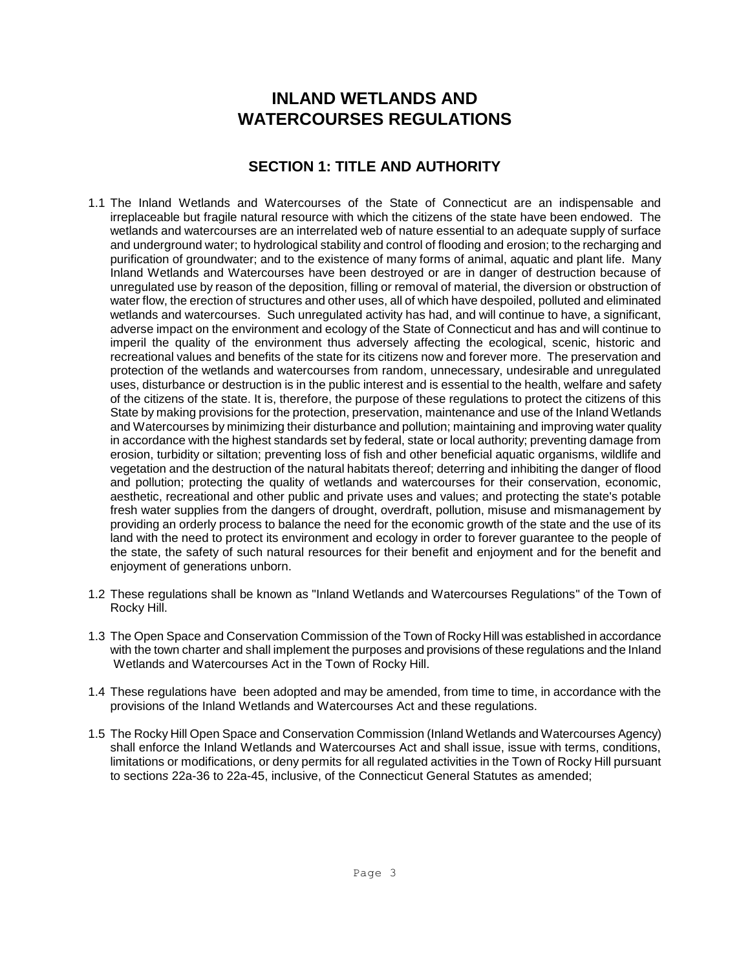## **SECTION 1: TITLE AND AUTHORITY**

- 1.1 The Inland Wetlands and Watercourses of the State of Connecticut are an indispensable and irreplaceable but fragile natural resource with which the citizens of the state have been endowed. The wetlands and watercourses are an interrelated web of nature essential to an adequate supply of surface and underground water; to hydrological stability and control of flooding and erosion; to the recharging and purification of groundwater; and to the existence of many forms of animal, aquatic and plant life. Many Inland Wetlands and Watercourses have been destroyed or are in danger of destruction because of unregulated use by reason of the deposition, filling or removal of material, the diversion or obstruction of water flow, the erection of structures and other uses, all of which have despoiled, polluted and eliminated wetlands and watercourses. Such unregulated activity has had, and will continue to have, a significant, adverse impact on the environment and ecology of the State of Connecticut and has and will continue to imperil the quality of the environment thus adversely affecting the ecological, scenic, historic and recreational values and benefits of the state for its citizens now and forever more. The preservation and protection of the wetlands and watercourses from random, unnecessary, undesirable and unregulated uses, disturbance or destruction is in the public interest and is essential to the health, welfare and safety of the citizens of the state. It is, therefore, the purpose of these regulations to protect the citizens of this State by making provisions for the protection, preservation, maintenance and use of the Inland Wetlands and Watercourses by minimizing their disturbance and pollution; maintaining and improving water quality in accordance with the highest standards set by federal, state or local authority; preventing damage from erosion, turbidity or siltation; preventing loss of fish and other beneficial aquatic organisms, wildlife and vegetation and the destruction of the natural habitats thereof; deterring and inhibiting the danger of flood and pollution; protecting the quality of wetlands and watercourses for their conservation, economic, aesthetic, recreational and other public and private uses and values; and protecting the state's potable fresh water supplies from the dangers of drought, overdraft, pollution, misuse and mismanagement by providing an orderly process to balance the need for the economic growth of the state and the use of its land with the need to protect its environment and ecology in order to forever guarantee to the people of the state, the safety of such natural resources for their benefit and enjoyment and for the benefit and enjoyment of generations unborn.
- 1.2 These regulations shall be known as "Inland Wetlands and Watercourses Regulations" of the Town of Rocky Hill.
- 1.3 The Open Space and Conservation Commission of the Town of Rocky Hill was established in accordance with the town charter and shall implement the purposes and provisions of these regulations and the InIand Wetlands and Watercourses Act in the Town of Rocky Hill.
- 1.4 These regulations have been adopted and may be amended, from time to time, in accordance with the provisions of the Inland Wetlands and Watercourses Act and these regulations.
- 1.5 The Rocky Hill Open Space and Conservation Commission (Inland Wetlands and Watercourses Agency) shall enforce the Inland Wetlands and Watercourses Act and shall issue, issue with terms, conditions, limitations or modifications, or deny permits for all regulated activities in the Town of Rocky Hill pursuant to section*s* 22a-36 to 22a-45, inclusive, of the Connecticut General Statutes as amended;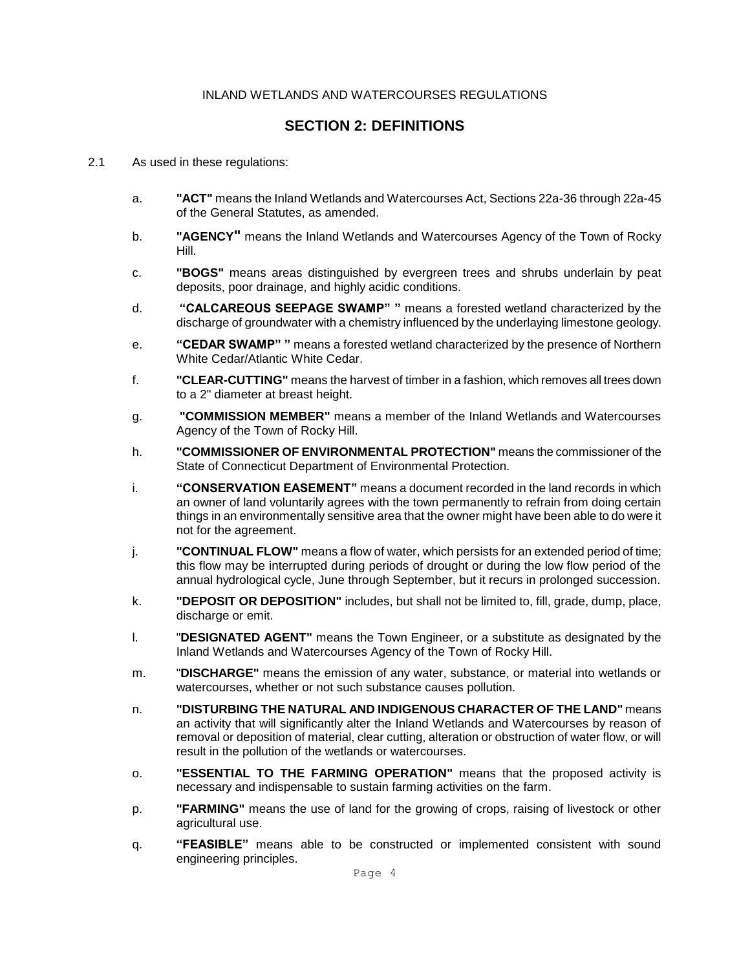### **SECTION 2: DEFINITIONS**

- 2.1 As used in these regulations:
	- a. **"ACT"** means the Inland Wetlands and Watercourses Act, Sections 22a-36 through 22a-45 of the General Statutes, as amended.
	- b. **"AGENCY"** means the Inland Wetlands and Watercourses Agency of the Town of Rocky Hill.
	- c. **"BOGS"** means areas distinguished by evergreen trees and shrubs underlain by peat deposits, poor drainage, and highly acidic conditions.
	- d. **"CALCAREOUS SEEPAGE SWAMP" "** means a forested wetland characterized by the discharge of groundwater with a chemistry influenced by the underlaying limestone geology.
	- e. **"CEDAR SWAMP" "** means a forested wetland characterized by the presence of Northern White Cedar/Atlantic White Cedar.
	- f. **"CLEAR-CUTTING"** means the harvest of timber in a fashion, which removes all trees down to a 2" diameter at breast height.
	- g. **"COMMISSION MEMBER"** means a member of the Inland Wetlands and Watercourses Agency of the Town of Rocky Hill.
	- h. **"COMMISSIONER OF ENVIRONMENTAL PROTECTION"** means the commissioner of the State of Connecticut Department of Environmental Protection.
	- i. **"CONSERVATION EASEMENT"** means a document recorded in the land records in which an owner of land voluntarily agrees with the town permanently to refrain from doing certain things in an environmentally sensitive area that the owner might have been able to do were it not for the agreement.
	- j. **"CONTINUAL FLOW"** means a flow of water, which persists for an extended period of time; this flow may be interrupted during periods of drought or during the low flow period of the annual hydrological cycle, June through September, but it recurs in prolonged succession.
	- k. **"DEPOSIT OR DEPOSITION"** includes, but shall not be limited to, fill, grade, dump, place, discharge or emit.
	- l. "**DESIGNATED AGENT"** means the Town Engineer, or a substitute as designated by the Inland Wetlands and Watercourses Agency of the Town of Rocky Hill.
	- m. "**DISCHARGE"** means the emission of any water, substance, or material into wetlands or watercourses, whether or not such substance causes pollution.
	- n. **"DISTURBING THE NATURAL AND INDIGENOUS CHARACTER OF THE LAND"** means an activity that will significantly alter the Inland Wetlands and Watercourses by reason of removal or deposition of material, clear cutting, alteration or obstruction of water flow, or will result in the pollution of the wetlands or watercourses.
	- o. **"ESSENTIAL TO THE FARMING OPERATION"** means that the proposed activity is necessary and indispensable to sustain farming activities on the farm.
	- p. **"FARMING"** means the use of land for the growing of crops, raising of livestock or other agricultural use.
	- q. **"FEASIBLE"** means able to be constructed or implemented consistent with sound engineering principles.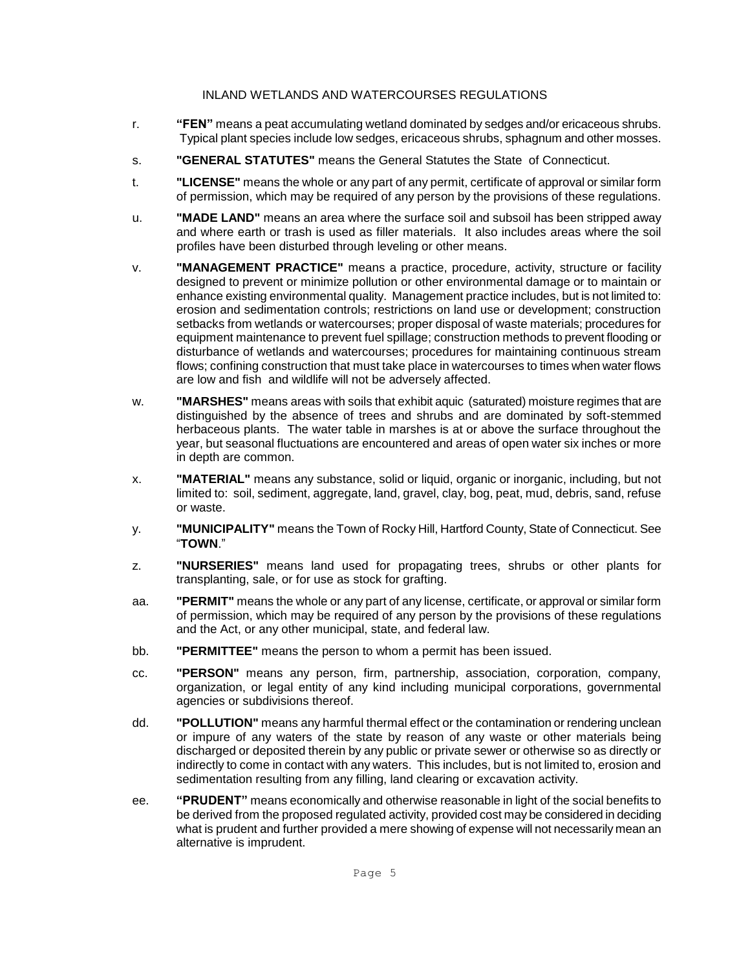- r. **"FEN"** means a peat accumulating wetland dominated by sedges and/or ericaceous shrubs. Typical plant species include low sedges, ericaceous shrubs, sphagnum and other mosses.
- s. **"GENERAL STATUTES"** means the General Statutes the State of Connecticut.
- t. **"LICENSE"** means the whole or any part of any permit, certificate of approval or similar form of permission, which may be required of any person by the provisions of these regulations.
- u. **"MADE LAND"** means an area where the surface soil and subsoil has been stripped away and where earth or trash is used as filler materials. It also includes areas where the soil profiles have been disturbed through leveling or other means.
- v. **"MANAGEMENT PRACTICE"** means a practice, procedure, activity, structure or facility designed to prevent or minimize pollution or other environmental damage or to maintain or enhance existing environmental quality. Management practice includes, but is not limited to: erosion and sedimentation controls; restrictions on land use or development; construction setbacks from wetlands or watercourses; proper disposal of waste materials; procedures for equipment maintenance to prevent fuel spillage; construction methods to prevent flooding or disturbance of wetlands and watercourses; procedures for maintaining continuous stream flows; confining construction that must take place in watercourses to times when water flows are low and fish and wildlife will not be adversely affected.
- w. **"MARSHES"** means areas with soils that exhibit aquic (saturated) moisture regimes that are distinguished by the absence of trees and shrubs and are dominated by soft-stemmed herbaceous plants. The water table in marshes is at or above the surface throughout the year, but seasonal fluctuations are encountered and areas of open water six inches or more in depth are common.
- x. **"MATERIAL"** means any substance, solid or liquid, organic or inorganic, including, but not limited to: soil, sediment, aggregate, land, gravel, clay, bog, peat, mud, debris, sand, refuse or waste.
- y. **"MUNICIPALITY"** means the Town of Rocky Hill, Hartford County, State of Connecticut. See "**TOWN**."
- z. **"NURSERIES"** means land used for propagating trees, shrubs or other plants for transplanting, sale, or for use as stock for grafting.
- aa. **"PERMIT"** means the whole or any part of any license, certificate, or approval or similar form of permission, which may be required of any person by the provisions of these regulations and the Act, or any other municipal, state, and federal law.
- bb. **"PERMITTEE"** means the person to whom a permit has been issued.
- cc. **"PERSON"** means any person, firm, partnership, association, corporation, company, organization, or legal entity of any kind including municipal corporations, governmental agencies or subdivisions thereof.
- dd. **"POLLUTION"** means any harmful thermal effect or the contamination or rendering unclean or impure of any waters of the state by reason of any waste or other materials being discharged or deposited therein by any public or private sewer or otherwise so as directly or indirectly to come in contact with any waters. This includes, but is not limited to, erosion and sedimentation resulting from any filling, land clearing or excavation activity.
- ee. **"PRUDENT"** means economically and otherwise reasonable in light of the social benefits to be derived from the proposed regulated activity, provided cost may be considered in deciding what is prudent and further provided a mere showing of expense will not necessarily mean an alternative is imprudent.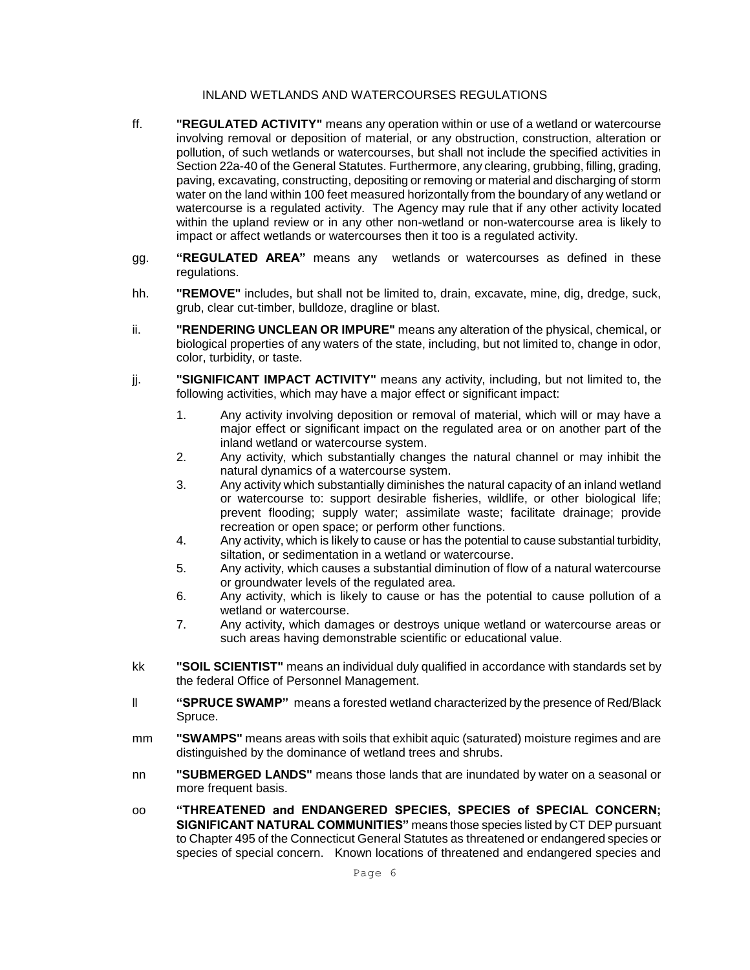- ff. **"REGULATED ACTIVITY"** means any operation within or use of a wetland or watercourse involving removal or deposition of material, or any obstruction, construction, alteration or pollution, of such wetlands or watercourses, but shall not include the specified activities in Section 22a-40 of the General Statutes. Furthermore, any clearing, grubbing, filling, grading, paving, excavating, constructing, depositing or removing or material and discharging of storm water on the land within 100 feet measured horizontally from the boundary of any wetland or watercourse is a regulated activity. The Agency may rule that if any other activity located within the upland review or in any other non-wetland or non-watercourse area is likely to impact or affect wetlands or watercourses then it too is a regulated activity.
- gg. **"REGULATED AREA"** means any wetlands or watercourses as defined in these regulations.
- hh. **"REMOVE"** includes, but shall not be limited to, drain, excavate, mine, dig, dredge, suck, grub, clear cut-timber, bulldoze, dragline or blast.
- ii. **"RENDERING UNCLEAN OR IMPURE"** means any alteration of the physical, chemical, or biological properties of any waters of the state, including, but not limited to, change in odor, color, turbidity, or taste.
- jj. **"SIGNIFICANT IMPACT ACTIVITY"** means any activity, including, but not limited to, the following activities, which may have a major effect or significant impact:
	- 1. Any activity involving deposition or removal of material, which will or may have a major effect or significant impact on the regulated area or on another part of the inland wetland or watercourse system.
	- 2. Any activity, which substantially changes the natural channel or may inhibit the natural dynamics of a watercourse system.
	- 3. Any activity which substantially diminishes the natural capacity of an inland wetland or watercourse to: support desirable fisheries, wildlife, or other biological life; prevent flooding; supply water; assimilate waste; facilitate drainage; provide recreation or open space; or perform other functions.
	- 4. Any activity, which is likely to cause or has the potential to cause substantial turbidity, siltation, or sedimentation in a wetland or watercourse.
	- 5. Any activity, which causes a substantial diminution of flow of a natural watercourse or groundwater levels of the regulated area.
	- 6. Any activity, which is likely to cause or has the potential to cause pollution of a wetland or watercourse.
	- 7. Any activity, which damages or destroys unique wetland or watercourse areas or such areas having demonstrable scientific or educational value.
- kk **"SOIL SCIENTIST"** means an individual duly qualified in accordance with standards set by the federal Office of Personnel Management.
- ll **"SPRUCE SWAMP"** means a forested wetland characterized by the presence of Red/Black Spruce.
- mm **"SWAMPS"** means areas with soils that exhibit aquic (saturated) moisture regimes and are distinguished by the dominance of wetland trees and shrubs.
- nn **"SUBMERGED LANDS"** means those lands that are inundated by water on a seasonal or more frequent basis.
- oo **"THREATENED and ENDANGERED SPECIES, SPECIES of SPECIAL CONCERN; SIGNIFICANT NATURAL COMMUNITIES"** means those species listed by CT DEP pursuant to Chapter 495 of the Connecticut General Statutes as threatened or endangered species or species of special concern. Known locations of threatened and endangered species and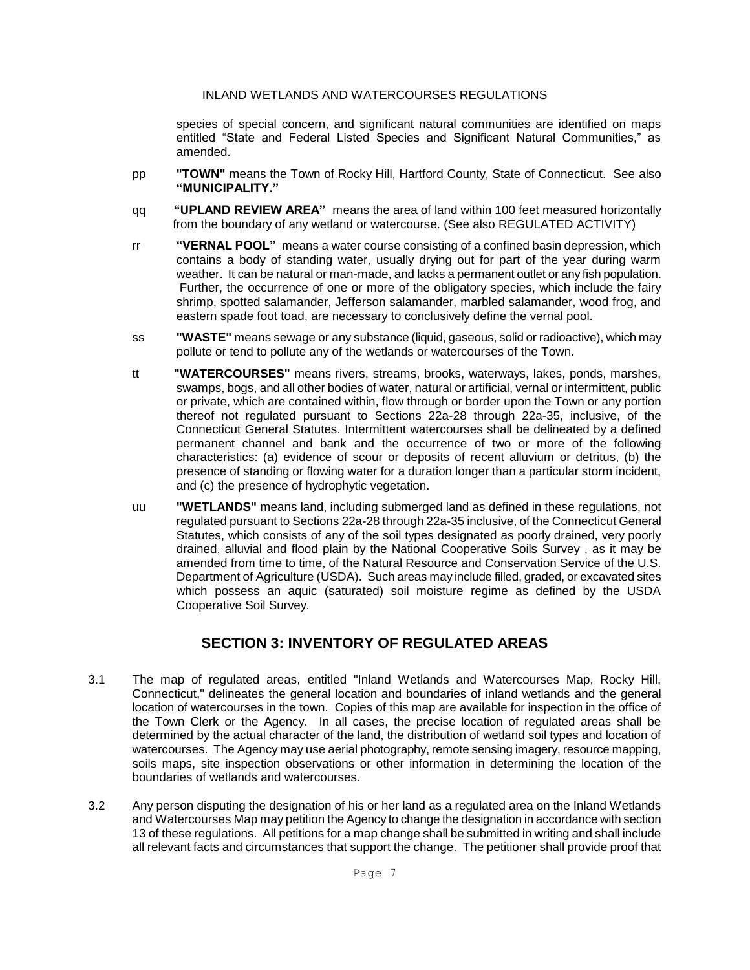species of special concern, and significant natural communities are identified on maps entitled "State and Federal Listed Species and Significant Natural Communities," as amended.

- pp **"TOWN"** means the Town of Rocky Hill, Hartford County, State of Connecticut. See also **"MUNICIPALITY."**
- qq **"UPLAND REVIEW AREA"** means the area of land within 100 feet measured horizontally from the boundary of any wetland or watercourse. (See also REGULATED ACTIVITY)
- rr **"VERNAL POOL"** means a water course consisting of a confined basin depression, which contains a body of standing water, usually drying out for part of the year during warm weather. It can be natural or man-made, and lacks a permanent outlet or any fish population. Further, the occurrence of one or more of the obligatory species, which include the fairy shrimp, spotted salamander, Jefferson salamander, marbled salamander, wood frog, and eastern spade foot toad, are necessary to conclusively define the vernal pool.
- ss **"WASTE"** means sewage or any substance (liquid, gaseous, solid or radioactive), which may pollute or tend to pollute any of the wetlands or watercourses of the Town.
- tt **"WATERCOURSES"** means rivers, streams, brooks, waterways, lakes, ponds, marshes, swamps, bogs, and all other bodies of water, natural or artificial, vernal or intermittent, public or private, which are contained within, flow through or border upon the Town or any portion thereof not regulated pursuant to Sections 22a-28 through 22a-35, inclusive, of the Connecticut General Statutes. Intermittent watercourses shall be delineated by a defined permanent channel and bank and the occurrence of two or more of the following characteristics: (a) evidence of scour or deposits of recent alluvium or detritus, (b) the presence of standing or flowing water for a duration longer than a particular storm incident, and (c) the presence of hydrophytic vegetation.
- uu **"WETLANDS"** means land, including submerged land as defined in these regulations, not regulated pursuant to Sections 22a-28 through 22a-35 inclusive, of the Connecticut General Statutes, which consists of any of the soil types designated as poorly drained, very poorly drained, alluvial and flood plain by the National Cooperative Soils Survey , as it may be amended from time to time, of the Natural Resource and Conservation Service of the U.S. Department of Agriculture (USDA). Such areas may include filled, graded, or excavated sites which possess an aquic (saturated) soil moisture regime as defined by the USDA Cooperative Soil Survey.

### **SECTION 3: INVENTORY OF REGULATED AREAS**

- 3.1 The map of regulated areas, entitled "Inland Wetlands and Watercourses Map, Rocky Hill, Connecticut," delineates the general location and boundaries of inland wetlands and the general location of watercourses in the town. Copies of this map are available for inspection in the office of the Town Clerk or the Agency. In all cases, the precise location of regulated areas shall be determined by the actual character of the land, the distribution of wetland soil types and location of watercourses. The Agency may use aerial photography, remote sensing imagery, resource mapping, soils maps, site inspection observations or other information in determining the location of the boundaries of wetlands and watercourses.
- 3.2 Any person disputing the designation of his or her land as a regulated area on the Inland Wetlands and Watercourses Map may petition the Agency to change the designation in accordance with section 13 of these regulations. All petitions for a map change shall be submitted in writing and shall include all relevant facts and circumstances that support the change. The petitioner shall provide proof that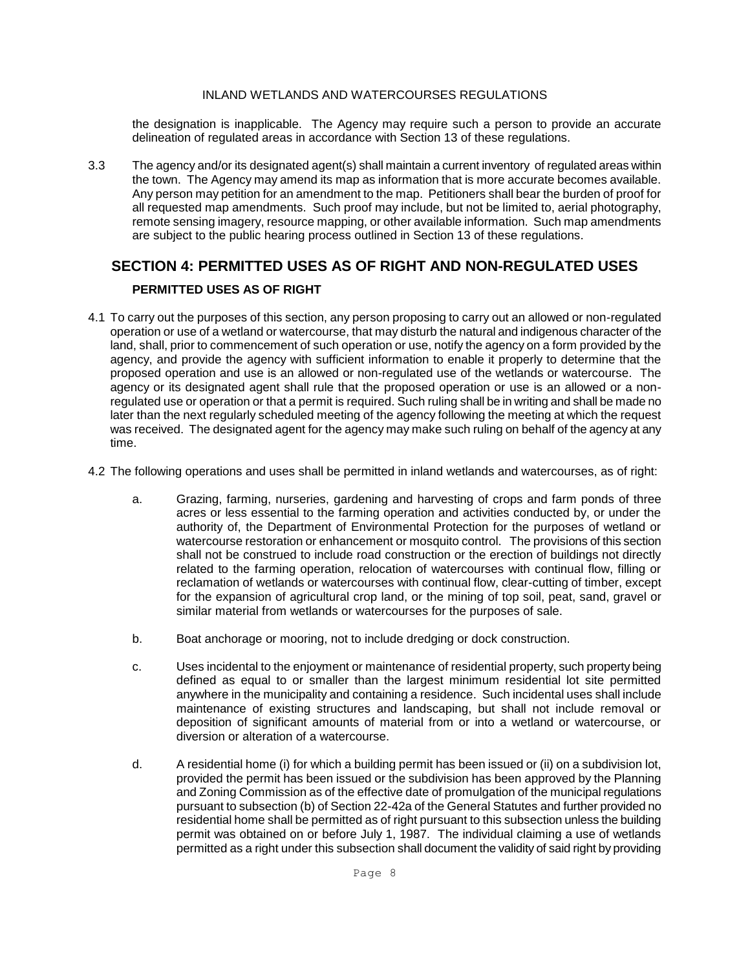the designation is inapplicable. The Agency may require such a person to provide an accurate delineation of regulated areas in accordance with Section 13 of these regulations.

3.3 The agency and/or its designated agent(s) shall maintain a current inventory of regulated areas within the town. The Agency may amend its map as information that is more accurate becomes available. Any person may petition for an amendment to the map. Petitioners shall bear the burden of proof for all requested map amendments. Such proof may include, but not be limited to, aerial photography, remote sensing imagery, resource mapping, or other available information. Such map amendments are subject to the public hearing process outlined in Section 13 of these regulations.

## **SECTION 4: PERMITTED USES AS OF RIGHT AND NON-REGULATED USES PERMITTED USES AS OF RIGHT**

- 4.1 To carry out the purposes of this section, any person proposing to carry out an allowed or non-regulated operation or use of a wetland or watercourse, that may disturb the natural and indigenous character of the land, shall, prior to commencement of such operation or use, notify the agency on a form provided by the agency, and provide the agency with sufficient information to enable it properly to determine that the proposed operation and use is an allowed or non-regulated use of the wetlands or watercourse. The agency or its designated agent shall rule that the proposed operation or use is an allowed or a nonregulated use or operation or that a permit is required. Such ruling shall be in writing and shall be made no later than the next regularly scheduled meeting of the agency following the meeting at which the request was received. The designated agent for the agency may make such ruling on behalf of the agency at any time.
- 4.2 The following operations and uses shall be permitted in inland wetlands and watercourses, as of right:
	- a. Grazing, farming, nurseries, gardening and harvesting of crops and farm ponds of three acres or less essential to the farming operation and activities conducted by, or under the authority of, the Department of Environmental Protection for the purposes of wetland or watercourse restoration or enhancement or mosquito control. The provisions of this section shall not be construed to include road construction or the erection of buildings not directly related to the farming operation, relocation of watercourses with continual flow, filling or reclamation of wetlands or watercourses with continual flow, clear-cutting of timber, except for the expansion of agricultural crop land, or the mining of top soil, peat, sand, gravel or similar material from wetlands or watercourses for the purposes of sale.
	- b. Boat anchorage or mooring, not to include dredging or dock construction.
	- c. Uses incidental to the enjoyment or maintenance of residential property, such property being defined as equal to or smaller than the largest minimum residential lot site permitted anywhere in the municipality and containing a residence. Such incidental uses shall include maintenance of existing structures and landscaping, but shall not include removal or deposition of significant amounts of material from or into a wetland or watercourse, or diversion or alteration of a watercourse.
	- d. A residential home (i) for which a building permit has been issued or (ii) on a subdivision lot, provided the permit has been issued or the subdivision has been approved by the Planning and Zoning Commission as of the effective date of promulgation of the municipal regulations pursuant to subsection (b) of Section 22-42a of the General Statutes and further provided no residential home shall be permitted as of right pursuant to this subsection unless the building permit was obtained on or before July 1, 1987. The individual claiming a use of wetlands permitted as a right under this subsection shall document the validity of said right by providing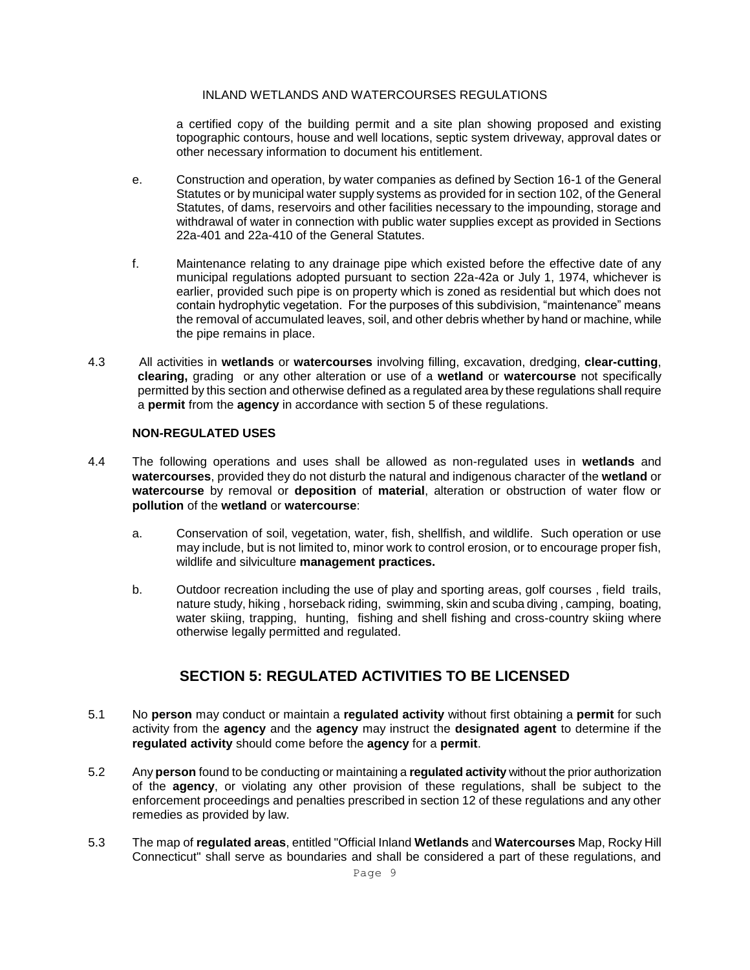a certified copy of the building permit and a site plan showing proposed and existing topographic contours, house and well locations, septic system driveway, approval dates or other necessary information to document his entitlement.

- e. Construction and operation, by water companies as defined by Section 16-1 of the General Statutes or by municipal water supply systems as provided for in section 102, of the General Statutes, of dams, reservoirs and other facilities necessary to the impounding, storage and withdrawal of water in connection with public water supplies except as provided in Sections 22a-401 and 22a-410 of the General Statutes.
- f. Maintenance relating to any drainage pipe which existed before the effective date of any municipal regulations adopted pursuant to section 22a-42a or July 1, 1974, whichever is earlier, provided such pipe is on property which is zoned as residential but which does not contain hydrophytic vegetation. For the purposes of this subdivision, "maintenance" means the removal of accumulated leaves, soil, and other debris whether by hand or machine, while the pipe remains in place.
- 4.3 All activities in **wetlands** or **watercourses** involving filling, excavation, dredging, **clear-cutting**, **clearing,** grading or any other alteration or use of a **wetland** or **watercourse** not specifically permitted by this section and otherwise defined as a regulated area by these regulations shall require a **permit** from the **agency** in accordance with section 5 of these regulations.

### **NON-REGULATED USES**

- 4.4 The following operations and uses shall be allowed as non-regulated uses in **wetlands** and **watercourses**, provided they do not disturb the natural and indigenous character of the **wetland** or **watercourse** by removal or **deposition** of **material**, alteration or obstruction of water flow or **pollution** of the **wetland** or **watercourse**:
	- a. Conservation of soil, vegetation, water, fish, shellfish, and wildlife. Such operation or use may include, but is not limited to, minor work to control erosion, or to encourage proper fish, wildlife and silviculture **management practices.**
	- b. Outdoor recreation including the use of play and sporting areas, golf courses , field trails, nature study, hiking , horseback riding, swimming, skin and scuba diving , camping, boating, water skiing, trapping, hunting, fishing and shell fishing and cross-country skiing where otherwise legally permitted and regulated.

### **SECTION 5: REGULATED ACTIVITIES TO BE LICENSED**

- 5.1 No **person** may conduct or maintain a **regulated activity** without first obtaining a **permit** for such activity from the **agency** and the **agency** may instruct the **designated agent** to determine if the **regulated activity** should come before the **agency** for a **permit**.
- 5.2 Any **person** found to be conducting or maintaining a **regulated activity** without the prior authorization of the **agency**, or violating any other provision of these regulations, shall be subject to the enforcement proceedings and penalties prescribed in section 12 of these regulations and any other remedies as provided by law.
- 5.3 The map of **regulated areas**, entitled "Official Inland **Wetlands** and **Watercourses** Map, Rocky Hill Connecticut" shall serve as boundaries and shall be considered a part of these regulations, and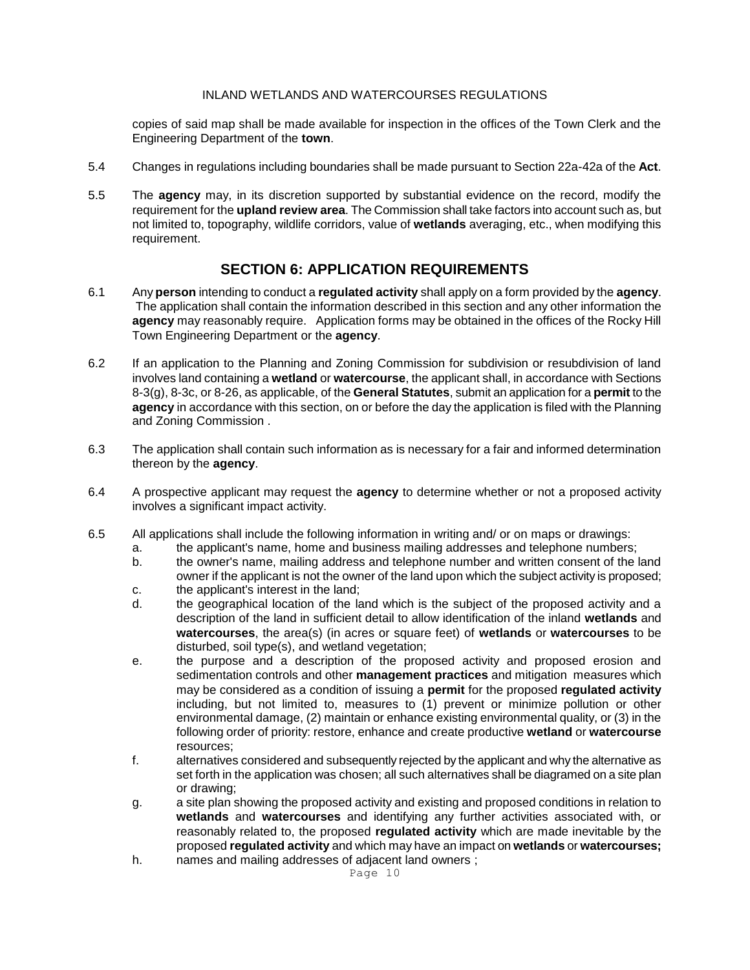copies of said map shall be made available for inspection in the offices of the Town Clerk and the Engineering Department of the **town**.

- 5.4 Changes in regulations including boundaries shall be made pursuant to Section 22a-42a of the **Act**.
- 5.5 The **agency** may, in its discretion supported by substantial evidence on the record, modify the requirement for the **upland review area**. The Commission shall take factors into account such as, but not limited to, topography, wildlife corridors, value of **wetlands** averaging, etc., when modifying this requirement.

### **SECTION 6: APPLICATION REQUIREMENTS**

- 6.1 Any **person** intending to conduct a **regulated activity** shall apply on a form provided by the **agency**. The application shall contain the information described in this section and any other information the **agency** may reasonably require. Application forms may be obtained in the offices of the Rocky Hill Town Engineering Department or the **agency**.
- 6.2 If an application to the Planning and Zoning Commission for subdivision or resubdivision of land involves land containing a **wetland** or **watercourse**, the applicant shall, in accordance with Sections 8-3(g), 8-3c, or 8-26, as applicable, of the **General Statutes**, submit an application for a **permit** to the **agency** in accordance with this section, on or before the day the application is filed with the Planning and Zoning Commission .
- 6.3 The application shall contain such information as is necessary for a fair and informed determination thereon by the **agency**.
- 6.4 A prospective applicant may request the **agency** to determine whether or not a proposed activity involves a significant impact activity.
- 6.5 All applications shall include the following information in writing and/ or on maps or drawings:
	- a. the applicant's name, home and business mailing addresses and telephone numbers;
	- b. the owner's name, mailing address and telephone number and written consent of the land owner if the applicant is not the owner of the land upon which the subject activity is proposed;
	- c. the applicant's interest in the land;
	- d. the geographical location of the land which is the subject of the proposed activity and a description of the land in sufficient detail to allow identification of the inland **wetlands** and **watercourses**, the area(s) (in acres or square feet) of **wetlands** or **watercourses** to be disturbed, soil type(s), and wetland vegetation;
	- e. the purpose and a description of the proposed activity and proposed erosion and sedimentation controls and other **management practices** and mitigation measures which may be considered as a condition of issuing a **permit** for the proposed **regulated activity** including, but not limited to, measures to (1) prevent or minimize pollution or other environmental damage, (2) maintain or enhance existing environmental quality, or (3) in the following order of priority: restore, enhance and create productive **wetland** or **watercourse** resources;
	- f. alternatives considered and subsequently rejected by the applicant and why the alternative as set forth in the application was chosen; all such alternatives shall be diagramed on a site plan or drawing;
	- g. a site plan showing the proposed activity and existing and proposed conditions in relation to **wetlands** and **watercourses** and identifying any further activities associated with, or reasonably related to, the proposed **regulated activity** which are made inevitable by the proposed **regulated activity** and which may have an impact on **wetlands** or **watercourses;**
	- h. names and mailing addresses of adjacent land owners ;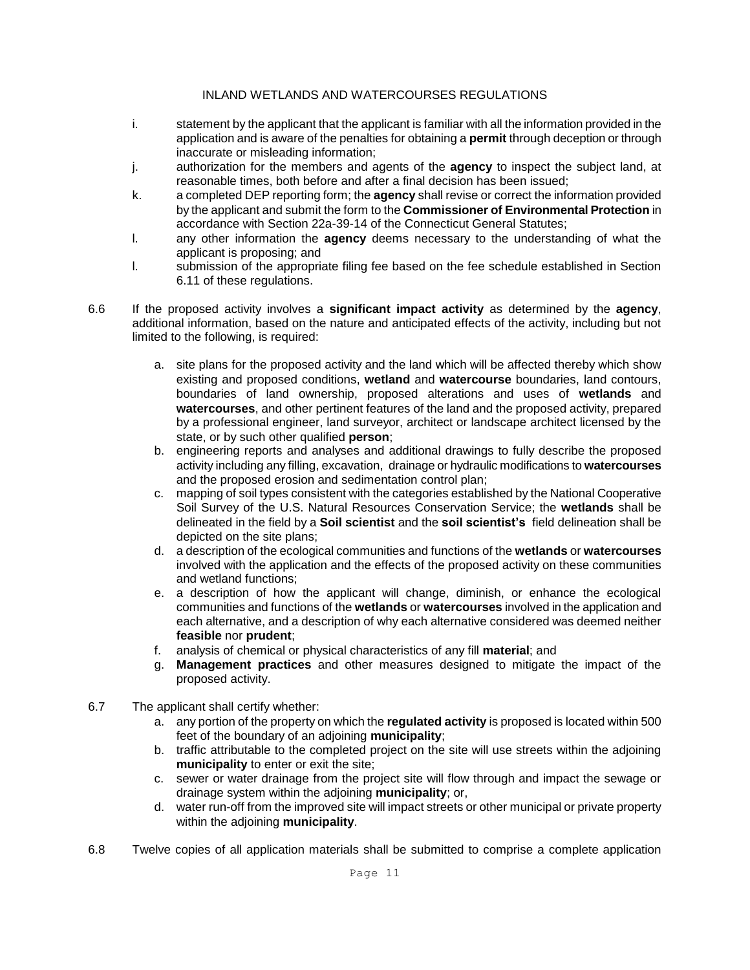- i. statement by the applicant that the applicant is familiar with all the information provided in the application and is aware of the penalties for obtaining a **permit** through deception or through inaccurate or misleading information;
- j. authorization for the members and agents of the **agency** to inspect the subject land, at reasonable times, both before and after a final decision has been issued;
- k. a completed DEP reporting form; the **agency** shall revise or correct the information provided by the applicant and submit the form to the **Commissioner of Environmental Protection** in accordance with Section 22a-39-14 of the Connecticut General Statutes;
- l. any other information the **agency** deems necessary to the understanding of what the applicant is proposing; and
- l. submission of the appropriate filing fee based on the fee schedule established in Section 6.11 of these regulations.
- 6.6 If the proposed activity involves a **significant impact activity** as determined by the **agency**, additional information, based on the nature and anticipated effects of the activity, including but not limited to the following, is required:
	- a. site plans for the proposed activity and the land which will be affected thereby which show existing and proposed conditions, **wetland** and **watercourse** boundaries, land contours, boundaries of land ownership, proposed alterations and uses of **wetlands** and **watercourses**, and other pertinent features of the land and the proposed activity, prepared by a professional engineer, land surveyor, architect or landscape architect licensed by the state, or by such other qualified **person**;
	- b. engineering reports and analyses and additional drawings to fully describe the proposed activity including any filling, excavation, drainage or hydraulic modifications to **watercourses** and the proposed erosion and sedimentation control plan;
	- c. mapping of soil types consistent with the categories established by the National Cooperative Soil Survey of the U.S. Natural Resources Conservation Service; the **wetlands** shall be delineated in the field by a **Soil scientist** and the **soil scientist's** field delineation shall be depicted on the site plans;
	- d. a description of the ecological communities and functions of the **wetlands** or **watercourses** involved with the application and the effects of the proposed activity on these communities and wetland functions;
	- e. a description of how the applicant will change, diminish, or enhance the ecological communities and functions of the **wetlands** or **watercourses** involved in the application and each alternative, and a description of why each alternative considered was deemed neither **feasible** nor **prudent**;
	- f. analysis of chemical or physical characteristics of any fill **material**; and
	- g. **Management practices** and other measures designed to mitigate the impact of the proposed activity.
- 6.7 The applicant shall certify whether:
	- a. any portion of the property on which the **regulated activity** is proposed is located within 500 feet of the boundary of an adjoining **municipality**;
	- b. traffic attributable to the completed project on the site will use streets within the adjoining **municipality** to enter or exit the site;
	- c. sewer or water drainage from the project site will flow through and impact the sewage or drainage system within the adjoining **municipality**; or,
	- d. water run-off from the improved site will impact streets or other municipal or private property within the adjoining **municipality**.
- 6.8 Twelve copies of all application materials shall be submitted to comprise a complete application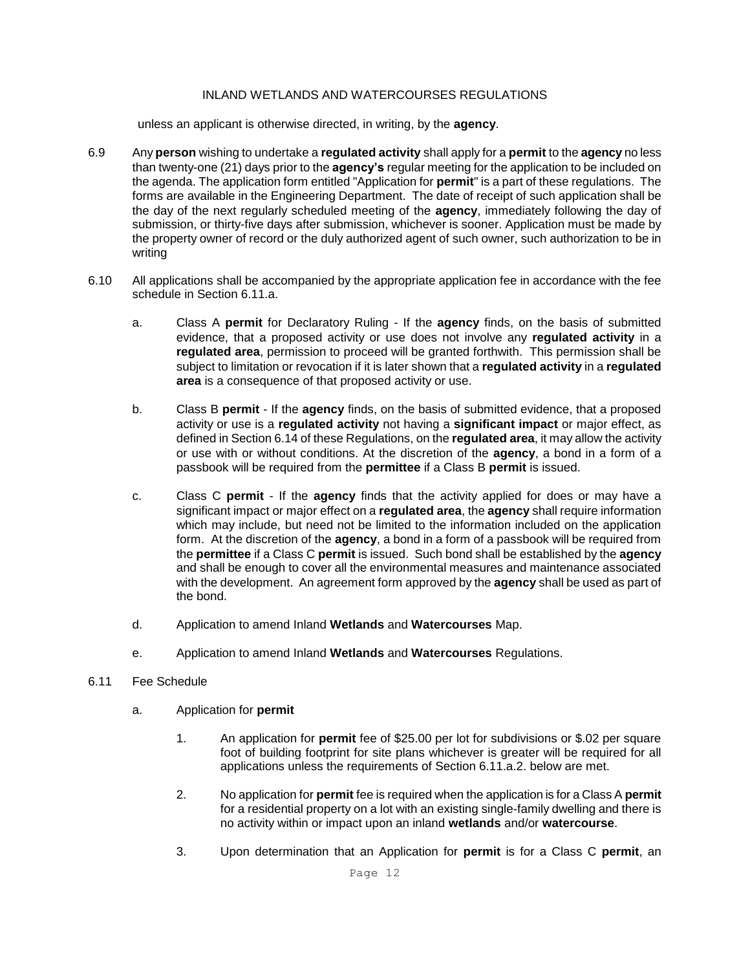unless an applicant is otherwise directed, in writing, by the **agency**.

- 6.9 Any **person** wishing to undertake a **regulated activity** shall apply for a **permit** to the **agency** no less than twenty-one (21) days prior to the **agency's** regular meeting for the application to be included on the agenda. The application form entitled "Application for **permit**" is a part of these regulations. The forms are available in the Engineering Department. The date of receipt of such application shall be the day of the next regularly scheduled meeting of the **agency**, immediately following the day of submission, or thirty-five days after submission, whichever is sooner. Application must be made by the property owner of record or the duly authorized agent of such owner, such authorization to be in writing
- 6.10 All applications shall be accompanied by the appropriate application fee in accordance with the fee schedule in Section 6.11.a.
	- a. Class A **permit** for Declaratory Ruling If the **agency** finds, on the basis of submitted evidence, that a proposed activity or use does not involve any **regulated activity** in a **regulated area**, permission to proceed will be granted forthwith. This permission shall be subject to limitation or revocation if it is later shown that a **regulated activity** in a **regulated area** is a consequence of that proposed activity or use.
	- b. Class B **permit** If the **agency** finds, on the basis of submitted evidence, that a proposed activity or use is a **regulated activity** not having a **significant impact** or major effect, as defined in Section 6.14 of these Regulations, on the **regulated area**, it may allow the activity or use with or without conditions. At the discretion of the **agency**, a bond in a form of a passbook will be required from the **permittee** if a Class B **permit** is issued.
	- c. Class C **permit** If the **agency** finds that the activity applied for does or may have a significant impact or major effect on a **regulated area**, the **agency** shall require information which may include, but need not be limited to the information included on the application form. At the discretion of the **agency**, a bond in a form of a passbook will be required from the **permittee** if a Class C **permit** is issued. Such bond shall be established by the **agency** and shall be enough to cover all the environmental measures and maintenance associated with the development. An agreement form approved by the **agency** shall be used as part of the bond.
	- d. Application to amend Inland **Wetlands** and **Watercourses** Map.
	- e. Application to amend Inland **Wetlands** and **Watercourses** Regulations.

### 6.11 Fee Schedule

- a. Application for **permit**
	- 1. An application for **permit** fee of \$25.00 per lot for subdivisions or \$.02 per square foot of building footprint for site plans whichever is greater will be required for all applications unless the requirements of Section 6.11.a.2. below are met.
	- 2. No application for **permit** fee is required when the application is for a Class A **permit** for a residential property on a lot with an existing single-family dwelling and there is no activity within or impact upon an inland **wetlands** and/or **watercourse**.
	- 3. Upon determination that an Application for **permit** is for a Class C **permit**, an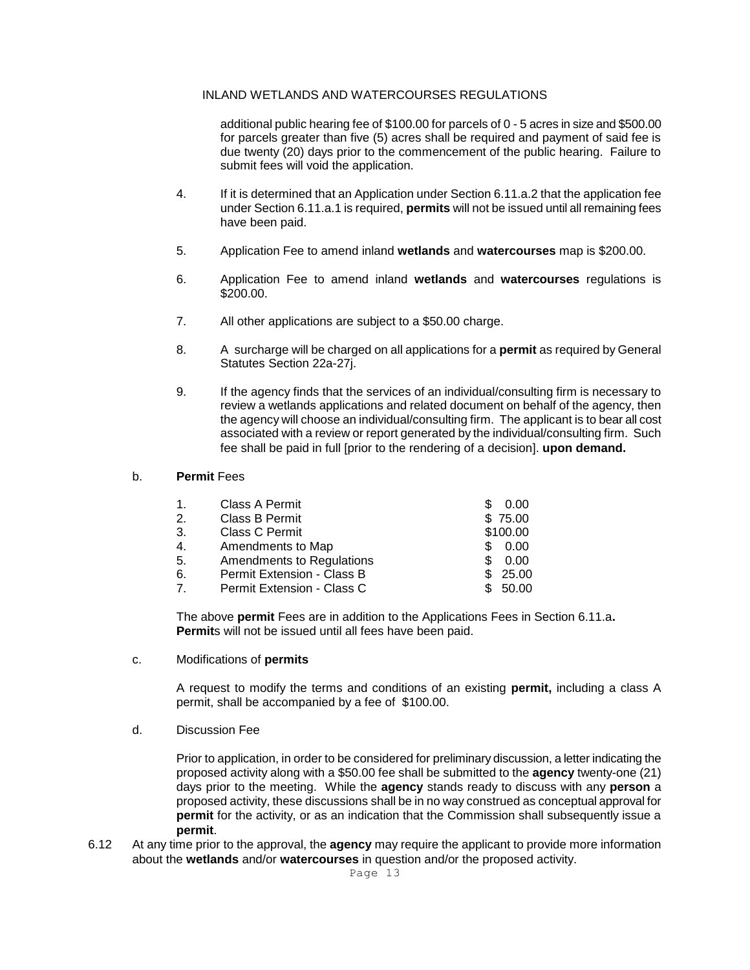additional public hearing fee of \$100.00 for parcels of 0 - 5 acres in size and \$500.00 for parcels greater than five (5) acres shall be required and payment of said fee is due twenty (20) days prior to the commencement of the public hearing. Failure to submit fees will void the application.

- 4. If it is determined that an Application under Section 6.11.a.2 that the application fee under Section 6.11.a.1 is required, **permits** will not be issued until all remaining fees have been paid.
- 5. Application Fee to amend inland **wetlands** and **watercourses** map is \$200.00.
- 6. Application Fee to amend inland **wetlands** and **watercourses** regulations is \$200.00.
- 7. All other applications are subject to a \$50.00 charge.
- 8. A surcharge will be charged on all applications for a **permit** as required by General Statutes Section 22a-27j.
- 9. If the agency finds that the services of an individual/consulting firm is necessary to review a wetlands applications and related document on behalf of the agency, then the agency will choose an individual/consulting firm. The applicant is to bear all cost associated with a review or report generated by the individual/consulting firm. Such fee shall be paid in full [prior to the rendering of a decision]. **upon demand.**

#### b. **Permit** Fees

| Class A Permit                   | 0.00     |
|----------------------------------|----------|
| Class B Permit                   | \$75.00  |
| Class C Permit                   | \$100.00 |
| Amendments to Map                | 0.00     |
| <b>Amendments to Regulations</b> | 0.00     |
| Permit Extension - Class B       | 25.00    |
| Permit Extension - Class C       | 50.00    |
|                                  |          |

The above **permit** Fees are in addition to the Applications Fees in Section 6.11.a**. Permit**s will not be issued until all fees have been paid.

c. Modifications of **permits**

A request to modify the terms and conditions of an existing **permit,** including a class A permit, shall be accompanied by a fee of \$100.00.

d. Discussion Fee

Prior to application, in order to be considered for preliminary discussion, a letter indicating the proposed activity along with a \$50.00 fee shall be submitted to the **agency** twenty-one (21) days prior to the meeting. While the **agency** stands ready to discuss with any **person** a proposed activity, these discussions shall be in no way construed as conceptual approval for **permit** for the activity, or as an indication that the Commission shall subsequently issue a **permit**.

6.12 At any time prior to the approval, the **agency** may require the applicant to provide more information about the **wetlands** and/or **watercourses** in question and/or the proposed activity.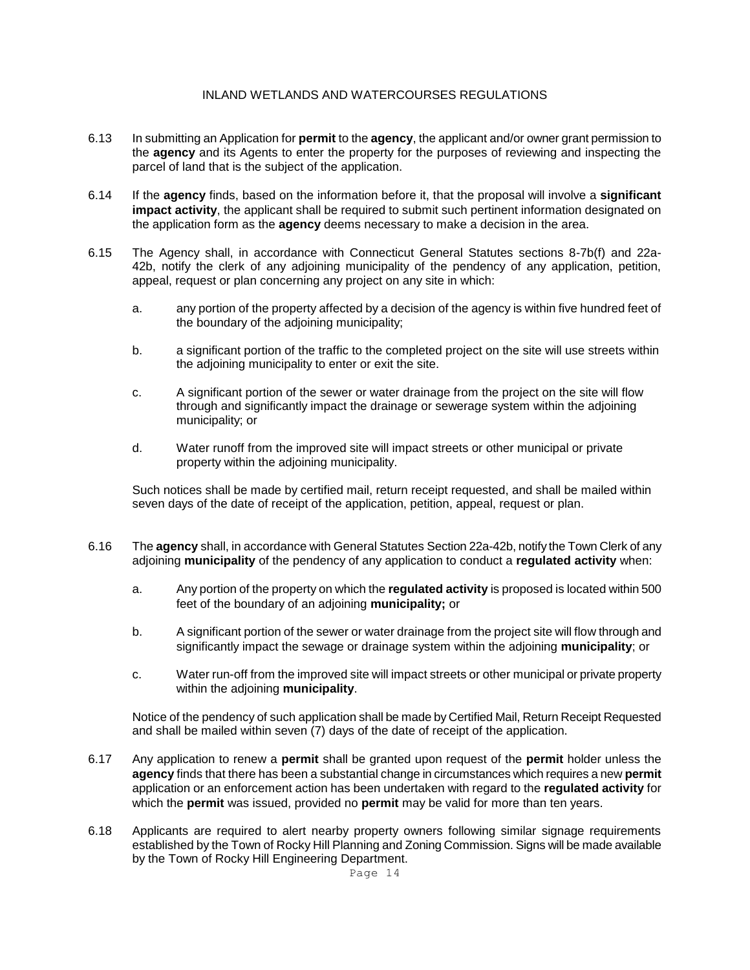- 6.13 In submitting an Application for **permit** to the **agency**, the applicant and/or owner grant permission to the **agency** and its Agents to enter the property for the purposes of reviewing and inspecting the parcel of land that is the subject of the application.
- 6.14 If the **agency** finds, based on the information before it, that the proposal will involve a **significant impact activity**, the applicant shall be required to submit such pertinent information designated on the application form as the **agency** deems necessary to make a decision in the area.
- 6.15 The Agency shall, in accordance with Connecticut General Statutes sections 8-7b(f) and 22a-42b, notify the clerk of any adjoining municipality of the pendency of any application, petition, appeal, request or plan concerning any project on any site in which:
	- a. any portion of the property affected by a decision of the agency is within five hundred feet of the boundary of the adjoining municipality;
	- b. a significant portion of the traffic to the completed project on the site will use streets within the adjoining municipality to enter or exit the site.
	- c. A significant portion of the sewer or water drainage from the project on the site will flow through and significantly impact the drainage or sewerage system within the adjoining municipality; or
	- d. Water runoff from the improved site will impact streets or other municipal or private property within the adjoining municipality.

Such notices shall be made by certified mail, return receipt requested, and shall be mailed within seven days of the date of receipt of the application, petition, appeal, request or plan.

- 6.16 The **agency** shall, in accordance with General Statutes Section 22a-42b, notify the Town Clerk of any adjoining **municipality** of the pendency of any application to conduct a **regulated activity** when:
	- a. Any portion of the property on which the **regulated activity** is proposed is located within 500 feet of the boundary of an adjoining **municipality;** or
	- b. A significant portion of the sewer or water drainage from the project site will flow through and significantly impact the sewage or drainage system within the adjoining **municipality**; or
	- c. Water run-off from the improved site will impact streets or other municipal or private property within the adjoining **municipality**.

Notice of the pendency of such application shall be made by Certified Mail, Return Receipt Requested and shall be mailed within seven (7) days of the date of receipt of the application.

- 6.17 Any application to renew a **permit** shall be granted upon request of the **permit** holder unless the **agency** finds that there has been a substantial change in circumstances which requires a new **permit** application or an enforcement action has been undertaken with regard to the **regulated activity** for which the **permit** was issued, provided no **permit** may be valid for more than ten years.
- 6.18 Applicants are required to alert nearby property owners following similar signage requirements established by the Town of Rocky Hill Planning and Zoning Commission. Signs will be made available by the Town of Rocky Hill Engineering Department.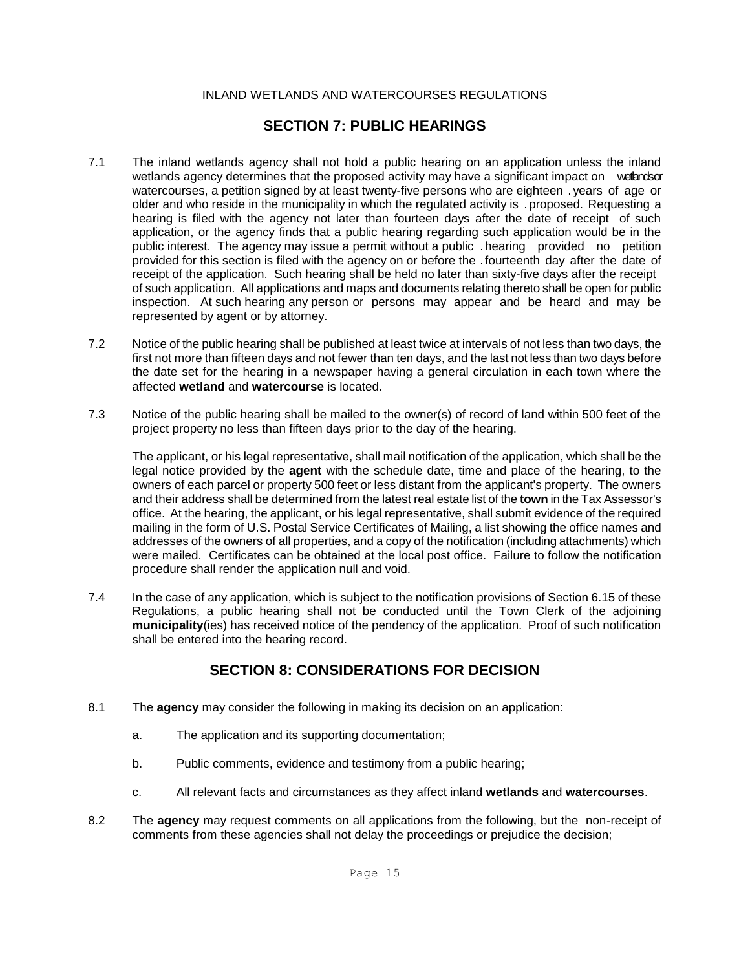### **SECTION 7: PUBLIC HEARINGS**

- 7.1 The inland wetlands agency shall not hold a public hearing on an application unless the inland wetlands agency determines that the proposed activity may have a significant impact on wetends or watercourses, a petition signed by at least twenty-five persons who are eighteen . years of age or older and who reside in the municipality in which the regulated activity is . proposed. Requesting a hearing is filed with the agency not later than fourteen days after the date of receipt of such application, or the agency finds that a public hearing regarding such application would be in the public interest. The agency may issue a permit without a public .hearing provided no petition provided for this section is filed with the agency on or before the .fourteenth day after the date of receipt of the application. Such hearing shall be held no later than sixty-five days after the receipt of such application. All applications and maps and documents relating thereto shall be open for public inspection. At such hearing any person or persons may appear and be heard and may be represented by agent or by attorney.
- 7.2 Notice of the public hearing shall be published at least twice at intervals of not less than two days, the first not more than fifteen days and not fewer than ten days, and the last not less than two days before the date set for the hearing in a newspaper having a general circulation in each town where the affected **wetland** and **watercourse** is located.
- 7.3 Notice of the public hearing shall be mailed to the owner(s) of record of land within 500 feet of the project property no less than fifteen days prior to the day of the hearing.

The applicant, or his legal representative, shall mail notification of the application, which shall be the legal notice provided by the **agent** with the schedule date, time and place of the hearing, to the owners of each parcel or property 500 feet or less distant from the applicant's property. The owners and their address shall be determined from the latest real estate list of the **town** in the Tax Assessor's office. At the hearing, the applicant, or his legal representative, shall submit evidence of the required mailing in the form of U.S. Postal Service Certificates of Mailing, a list showing the office names and addresses of the owners of all properties, and a copy of the notification (including attachments) which were mailed. Certificates can be obtained at the local post office. Failure to follow the notification procedure shall render the application null and void.

7.4 In the case of any application, which is subject to the notification provisions of Section 6.15 of these Regulations, a public hearing shall not be conducted until the Town Clerk of the adjoining **municipality**(ies) has received notice of the pendency of the application. Proof of such notification shall be entered into the hearing record.

## **SECTION 8: CONSIDERATIONS FOR DECISION**

- 8.1 The **agency** may consider the following in making its decision on an application:
	- a. The application and its supporting documentation;
	- b. Public comments, evidence and testimony from a public hearing;
	- c. All relevant facts and circumstances as they affect inland **wetlands** and **watercourses**.
- 8.2 The **agency** may request comments on all applications from the following, but the non-receipt of comments from these agencies shall not delay the proceedings or prejudice the decision;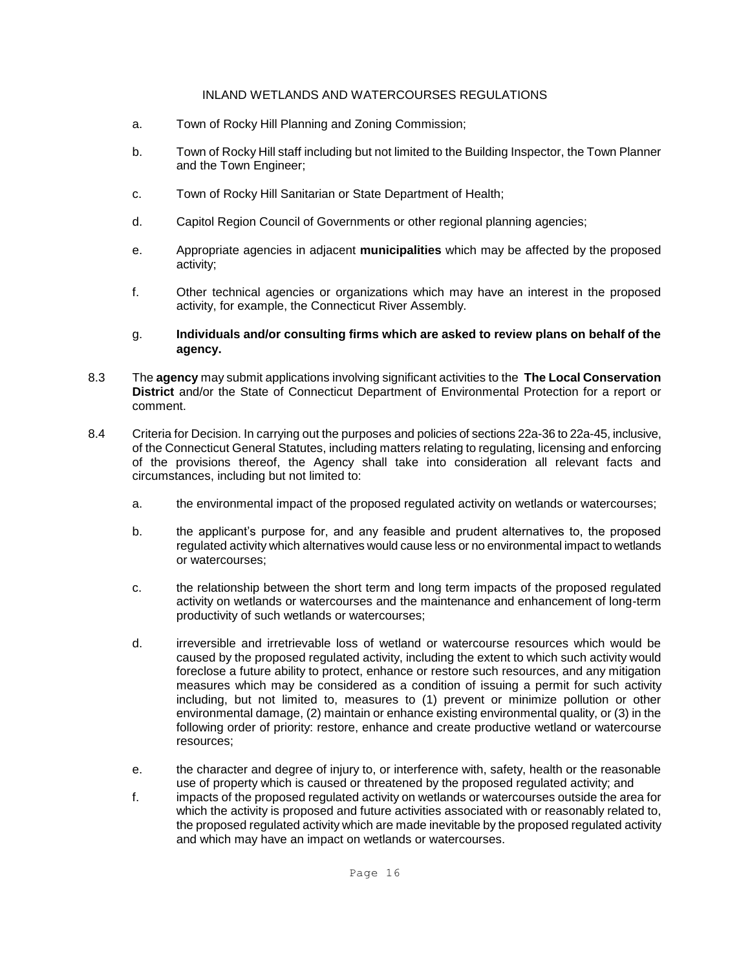- a. Town of Rocky Hill Planning and Zoning Commission;
- b. Town of Rocky Hill staff including but not limited to the Building Inspector, the Town Planner and the Town Engineer;
- c. Town of Rocky Hill Sanitarian or State Department of Health;
- d. Capitol Region Council of Governments or other regional planning agencies;
- e. Appropriate agencies in adjacent **municipalities** which may be affected by the proposed activity;
- f. Other technical agencies or organizations which may have an interest in the proposed activity, for example, the Connecticut River Assembly.
- g. **Individuals and/or consulting firms which are asked to review plans on behalf of the agency.**
- 8.3 The **agency** may submit applications involving significant activities to the **The Local Conservation District** and/or the State of Connecticut Department of Environmental Protection for a report or comment.
- 8.4 Criteria for Decision. In carrying out the purposes and policies of sections 22a-36 to 22a-45, inclusive, of the Connecticut General Statutes, including matters relating to regulating, licensing and enforcing of the provisions thereof, the Agency shall take into consideration all relevant facts and circumstances, including but not limited to:
	- a. the environmental impact of the proposed regulated activity on wetlands or watercourses;
	- b. the applicant's purpose for, and any feasible and prudent alternatives to, the proposed regulated activity which alternatives would cause less or no environmental impact to wetlands or watercourses;
	- c. the relationship between the short term and long term impacts of the proposed regulated activity on wetlands or watercourses and the maintenance and enhancement of long-term productivity of such wetlands or watercourses;
	- d. irreversible and irretrievable loss of wetland or watercourse resources which would be caused by the proposed regulated activity, including the extent to which such activity would foreclose a future ability to protect, enhance or restore such resources, and any mitigation measures which may be considered as a condition of issuing a permit for such activity including, but not limited to, measures to (1) prevent or minimize pollution or other environmental damage, (2) maintain or enhance existing environmental quality, or (3) in the following order of priority: restore, enhance and create productive wetland or watercourse resources;
	- e. the character and degree of injury to, or interference with, safety, health or the reasonable use of property which is caused or threatened by the proposed regulated activity; and
	- f. impacts of the proposed regulated activity on wetlands or watercourses outside the area for which the activity is proposed and future activities associated with or reasonably related to, the proposed regulated activity which are made inevitable by the proposed regulated activity and which may have an impact on wetlands or watercourses.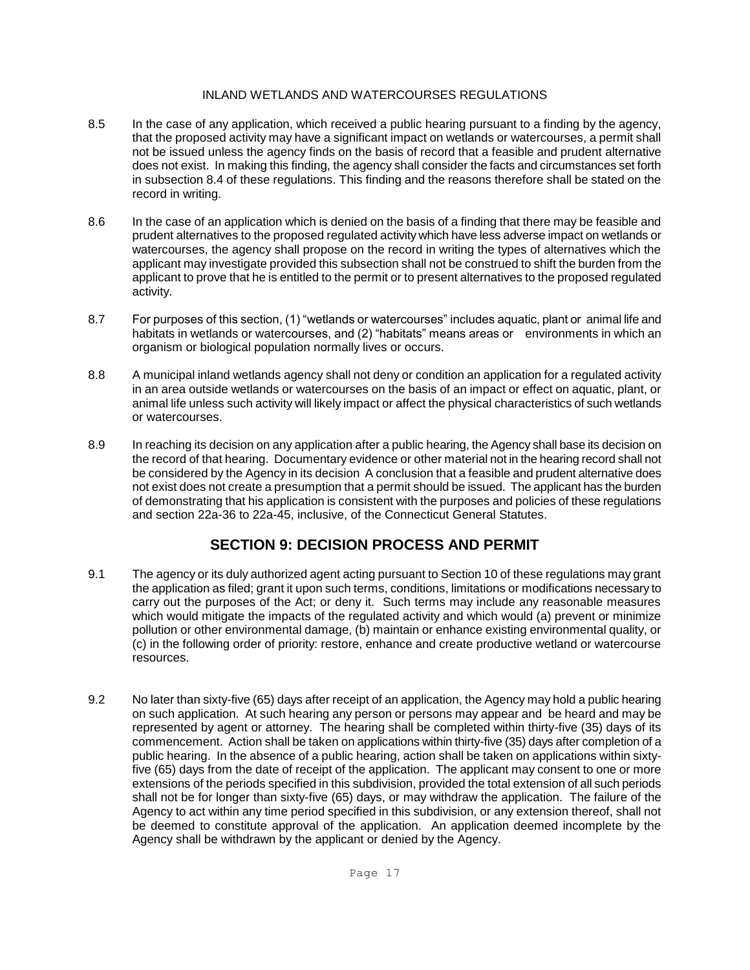- 8.5 In the case of any application, which received a public hearing pursuant to a finding by the agency, that the proposed activity may have a significant impact on wetlands or watercourses, a permit shall not be issued unless the agency finds on the basis of record that a feasible and prudent alternative does not exist. In making this finding, the agency shall consider the facts and circumstances set forth in subsection 8.4 of these regulations. This finding and the reasons therefore shall be stated on the record in writing.
- 8.6 In the case of an application which is denied on the basis of a finding that there may be feasible and prudent alternatives to the proposed regulated activity which have less adverse impact on wetlands or watercourses, the agency shall propose on the record in writing the types of alternatives which the applicant may investigate provided this subsection shall not be construed to shift the burden from the applicant to prove that he is entitled to the permit or to present alternatives to the proposed regulated activity.
- 8.7 For purposes of this section, (1) "wetlands or watercourses" includes aquatic, plant or animal life and habitats in wetlands or watercourses, and (2) "habitats" means areas or environments in which an organism or biological population normally lives or occurs.
- 8.8 A municipal inland wetlands agency shall not deny or condition an application for a regulated activity in an area outside wetlands or watercourses on the basis of an impact or effect on aquatic, plant, or animal life unless such activity will likely impact or affect the physical characteristics of such wetlands or watercourses.
- 8.9 In reaching its decision on any application after a public hearing, the Agency shall base its decision on the record of that hearing. Documentary evidence or other material not in the hearing record shall not be considered by the Agency in its decision A conclusion that a feasible and prudent alternative does not exist does not create a presumption that a permit should be issued. The applicant has the burden of demonstrating that his application is consistent with the purposes and policies of these regulations and section 22a-36 to 22a-45, inclusive, of the Connecticut General Statutes.

## **SECTION 9: DECISION PROCESS AND PERMIT**

- 9.1 The agency or its duly authorized agent acting pursuant to Section 10 of these regulations may grant the application as filed; grant it upon such terms, conditions, limitations or modifications necessary to carry out the purposes of the Act; or deny it. Such terms may include any reasonable measures which would mitigate the impacts of the regulated activity and which would (a) prevent or minimize pollution or other environmental damage, (b) maintain or enhance existing environmental quality, or (c) in the following order of priority: restore, enhance and create productive wetland or watercourse resources.
- 9.2 No later than sixty-five (65) days after receipt of an application, the Agency may hold a public hearing on such application. At such hearing any person or persons may appear and be heard and may be represented by agent or attorney. The hearing shall be completed within thirty-five (35) days of its commencement. Action shall be taken on applications within thirty-five (35) days after completion of a public hearing. In the absence of a public hearing, action shall be taken on applications within sixtyfive (65) days from the date of receipt of the application. The applicant may consent to one or more extensions of the periods specified in this subdivision, provided the total extension of all such periods shall not be for longer than sixty-five (65) days, or may withdraw the application. The failure of the Agency to act within any time period specified in this subdivision, or any extension thereof, shall not be deemed to constitute approval of the application. An application deemed incomplete by the Agency shall be withdrawn by the applicant or denied by the Agency.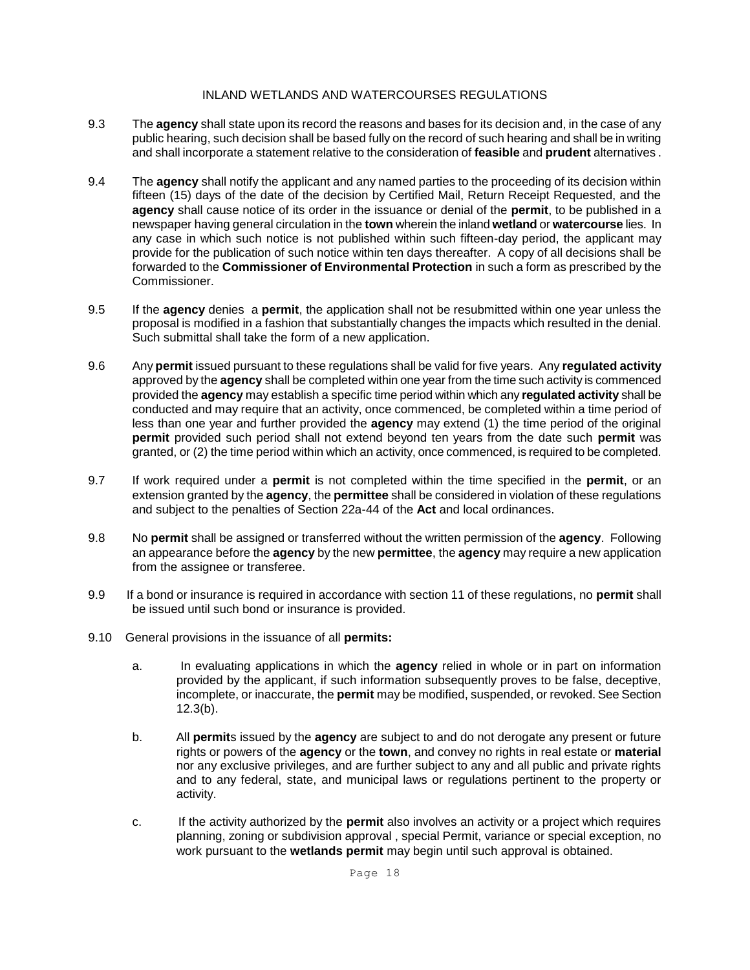- 9.3 The **agency** shall state upon its record the reasons and bases for its decision and, in the case of any public hearing, such decision shall be based fully on the record of such hearing and shall be in writing and shall incorporate a statement relative to the consideration of **feasible** and **prudent** alternatives .
- 9.4 The **agency** shall notify the applicant and any named parties to the proceeding of its decision within fifteen (15) days of the date of the decision by Certified Mail, Return Receipt Requested, and the **agency** shall cause notice of its order in the issuance or denial of the **permit**, to be published in a newspaper having general circulation in the **town** wherein the inland **wetland** or **watercourse** lies. In any case in which such notice is not published within such fifteen-day period, the applicant may provide for the publication of such notice within ten days thereafter. A copy of all decisions shall be forwarded to the **Commissioner of Environmental Protection** in such a form as prescribed by the Commissioner.
- 9.5 If the **agency** denies a **permit**, the application shall not be resubmitted within one year unless the proposal is modified in a fashion that substantially changes the impacts which resulted in the denial. Such submittal shall take the form of a new application.
- 9.6 Any **permit** issued pursuant to these regulations shall be valid for five years. Any **regulated activity** approved by the **agency** shall be completed within one year from the time such activity is commenced provided the **agency** may establish a specific time period within which any **regulated activity** shall be conducted and may require that an activity, once commenced, be completed within a time period of less than one year and further provided the **agency** may extend (1) the time period of the original **permit** provided such period shall not extend beyond ten years from the date such **permit** was granted, or (2) the time period within which an activity, once commenced, is required to be completed.
- 9.7 If work required under a **permit** is not completed within the time specified in the **permit**, or an extension granted by the **agency**, the **permittee** shall be considered in violation of these regulations and subject to the penalties of Section 22a-44 of the **Act** and local ordinances.
- 9.8 No **permit** shall be assigned or transferred without the written permission of the **agency**. Following an appearance before the **agency** by the new **permittee**, the **agency** may require a new application from the assignee or transferee.
- 9.9 If a bond or insurance is required in accordance with section 11 of these regulations, no **permit** shall be issued until such bond or insurance is provided.
- 9.10 General provisions in the issuance of all **permits:** 
	- a. In evaluating applications in which the **agency** relied in whole or in part on information provided by the applicant, if such information subsequently proves to be false, deceptive, incomplete, or inaccurate, the **permit** may be modified, suspended, or revoked. See Section 12.3(b).
	- b. All **permit**s issued by the **agency** are subject to and do not derogate any present or future rights or powers of the **agency** or the **town**, and convey no rights in real estate or **material** nor any exclusive privileges, and are further subject to any and all public and private rights and to any federal, state, and municipal laws or regulations pertinent to the property or activity.
	- c. If the activity authorized by the **permit** also involves an activity or a project which requires planning, zoning or subdivision approval , special Permit, variance or special exception, no work pursuant to the **wetlands permit** may begin until such approval is obtained.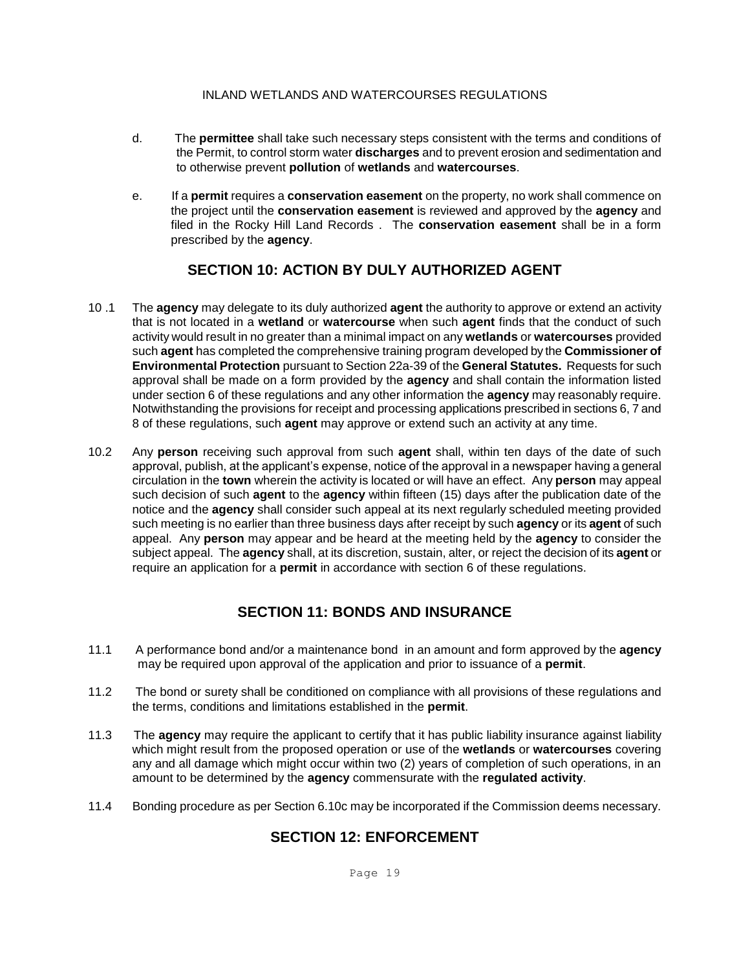- d. The **permittee** shall take such necessary steps consistent with the terms and conditions of the Permit, to control storm water **discharges** and to prevent erosion and sedimentation and to otherwise prevent **pollution** of **wetlands** and **watercourses**.
- e. If a **permit** requires a **conservation easement** on the property, no work shall commence on the project until the **conservation easement** is reviewed and approved by the **agency** and filed in the Rocky Hill Land Records . The **conservation easement** shall be in a form prescribed by the **agency**.

## **SECTION 10: ACTION BY DULY AUTHORIZED AGENT**

- 10 .1 The **agency** may delegate to its duly authorized **agent** the authority to approve or extend an activity that is not located in a **wetland** or **watercourse** when such **agent** finds that the conduct of such activity would result in no greater than a minimal impact on any **wetlands** or **watercourses** provided such **agent** has completed the comprehensive training program developed by the **Commissioner of Environmental Protection** pursuant to Section 22a-39 of the **General Statutes.** Requests for such approval shall be made on a form provided by the **agency** and shall contain the information listed under section 6 of these regulations and any other information the **agency** may reasonably require. Notwithstanding the provisions for receipt and processing applications prescribed in sections 6, 7 and 8 of these regulations, such **agent** may approve or extend such an activity at any time.
- 10.2 Any **person** receiving such approval from such **agent** shall, within ten days of the date of such approval, publish, at the applicant's expense, notice of the approval in a newspaper having a general circulation in the **town** wherein the activity is located or will have an effect. Any **person** may appeal such decision of such **agent** to the **agency** within fifteen (15) days after the publication date of the notice and the **agency** shall consider such appeal at its next regularly scheduled meeting provided such meeting is no earlier than three business days after receipt by such **agency** or its **agent** of such appeal. Any **person** may appear and be heard at the meeting held by the **agency** to consider the subject appeal. The **agency** shall, at its discretion, sustain, alter, or reject the decision of its **agent** or require an application for a **permit** in accordance with section 6 of these regulations.

## **SECTION 11: BONDS AND INSURANCE**

- 11.1 A performance bond and/or a maintenance bond in an amount and form approved by the **agency** may be required upon approval of the application and prior to issuance of a **permit**.
- 11.2 The bond or surety shall be conditioned on compliance with all provisions of these regulations and the terms, conditions and limitations established in the **permit**.
- 11.3 The **agency** may require the applicant to certify that it has public liability insurance against liability which might result from the proposed operation or use of the **wetlands** or **watercourses** covering any and all damage which might occur within two (2) years of completion of such operations, in an amount to be determined by the **agency** commensurate with the **regulated activity**.
- 11.4 Bonding procedure as per Section 6.10c may be incorporated if the Commission deems necessary.

## **SECTION 12: ENFORCEMENT**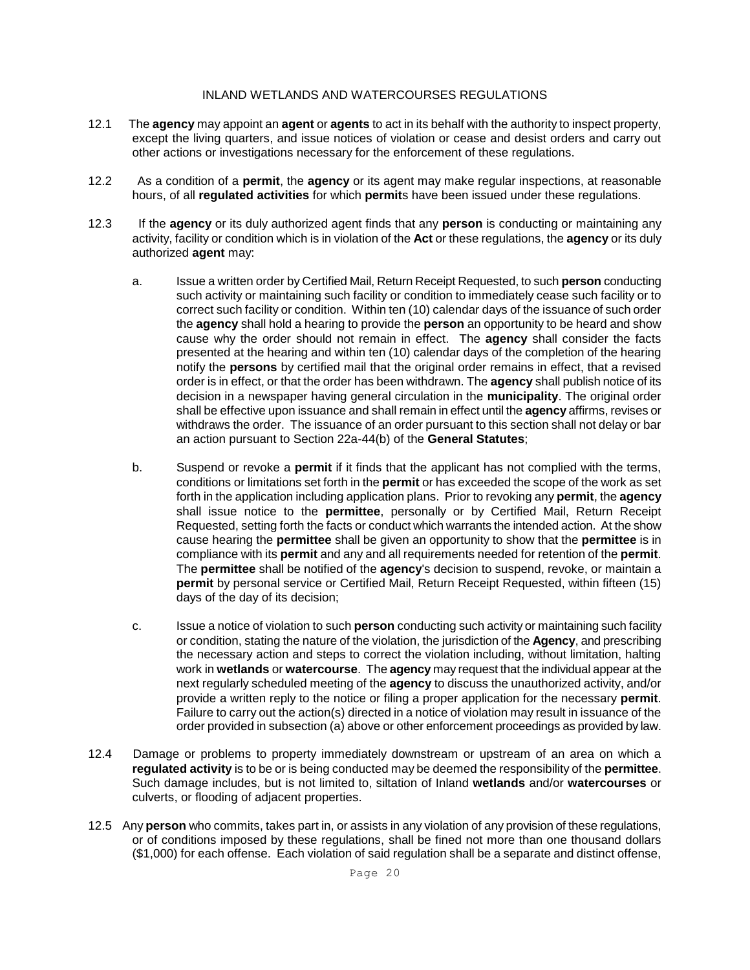- 12.1 The **agency** may appoint an **agent** or **agents** to act in its behalf with the authority to inspect property, except the living quarters, and issue notices of violation or cease and desist orders and carry out other actions or investigations necessary for the enforcement of these regulations.
- 12.2 As a condition of a **permit**, the **agency** or its agent may make regular inspections, at reasonable hours, of all **regulated activities** for which **permit**s have been issued under these regulations.
- 12.3 If the **agency** or its duly authorized agent finds that any **person** is conducting or maintaining any activity, facility or condition which is in violation of the **Act** or these regulations, the **agency** or its duly authorized **agent** may:
	- a. Issue a written order by Certified Mail, Return Receipt Requested, to such **person** conducting such activity or maintaining such facility or condition to immediately cease such facility or to correct such facility or condition. Within ten (10) calendar days of the issuance of such order the **agency** shall hold a hearing to provide the **person** an opportunity to be heard and show cause why the order should not remain in effect. The **agency** shall consider the facts presented at the hearing and within ten (10) calendar days of the completion of the hearing notify the **persons** by certified mail that the original order remains in effect, that a revised order is in effect, or that the order has been withdrawn. The **agency** shall publish notice of its decision in a newspaper having general circulation in the **municipality**. The original order shall be effective upon issuance and shall remain in effect until the **agency** affirms, revises or withdraws the order. The issuance of an order pursuant to this section shall not delay or bar an action pursuant to Section 22a-44(b) of the **General Statutes**;
	- b. Suspend or revoke a **permit** if it finds that the applicant has not complied with the terms, conditions or limitations set forth in the **permit** or has exceeded the scope of the work as set forth in the application including application plans. Prior to revoking any **permit**, the **agency** shall issue notice to the **permittee**, personally or by Certified Mail, Return Receipt Requested, setting forth the facts or conduct which warrants the intended action. At the show cause hearing the **permittee** shall be given an opportunity to show that the **permittee** is in compliance with its **permit** and any and all requirements needed for retention of the **permit**. The **permittee** shall be notified of the **agency**'s decision to suspend, revoke, or maintain a **permit** by personal service or Certified Mail, Return Receipt Requested, within fifteen (15) days of the day of its decision;
	- c. Issue a notice of violation to such **person** conducting such activity or maintaining such facility or condition, stating the nature of the violation, the jurisdiction of the **Agency**, and prescribing the necessary action and steps to correct the violation including, without limitation, halting work in **wetlands** or **watercourse**. The **agency** may request that the individual appear at the next regularly scheduled meeting of the **agency** to discuss the unauthorized activity, and/or provide a written reply to the notice or filing a proper application for the necessary **permit**. Failure to carry out the action(s) directed in a notice of violation may result in issuance of the order provided in subsection (a) above or other enforcement proceedings as provided by law.
- 12.4 Damage or problems to property immediately downstream or upstream of an area on which a **regulated activity** is to be or is being conducted may be deemed the responsibility of the **permittee**. Such damage includes, but is not limited to, siltation of Inland **wetlands** and/or **watercourses** or culverts, or flooding of adjacent properties.
- 12.5 Any **person** who commits, takes part in, or assists in any violation of any provision of these regulations, or of conditions imposed by these regulations, shall be fined not more than one thousand dollars (\$1,000) for each offense. Each violation of said regulation shall be a separate and distinct offense,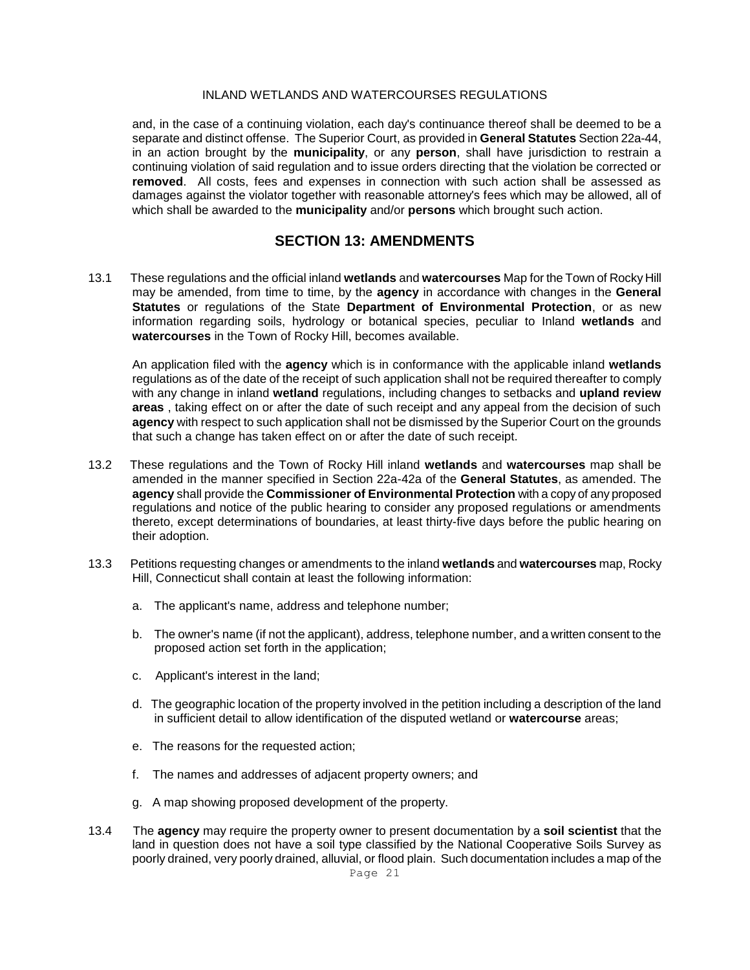and, in the case of a continuing violation, each day's continuance thereof shall be deemed to be a separate and distinct offense. The Superior Court, as provided in **General Statutes** Section 22a-44, in an action brought by the **municipality**, or any **person**, shall have jurisdiction to restrain a continuing violation of said regulation and to issue orders directing that the violation be corrected or **removed**. All costs, fees and expenses in connection with such action shall be assessed as damages against the violator together with reasonable attorney's fees which may be allowed, all of which shall be awarded to the **municipality** and/or **persons** which brought such action.

### **SECTION 13: AMENDMENTS**

13.1 These regulations and the official inland **wetlands** and **watercourses** Map for the Town of Rocky Hill may be amended, from time to time, by the **agency** in accordance with changes in the **General Statutes** or regulations of the State **Department of Environmental Protection**, or as new information regarding soils, hydrology or botanical species, peculiar to Inland **wetlands** and **watercourses** in the Town of Rocky Hill, becomes available.

An application filed with the **agency** which is in conformance with the applicable inland **wetlands** regulations as of the date of the receipt of such application shall not be required thereafter to comply with any change in inland **wetland** regulations, including changes to setbacks and **upland review areas** , taking effect on or after the date of such receipt and any appeal from the decision of such **agency** with respect to such application shall not be dismissed by the Superior Court on the grounds that such a change has taken effect on or after the date of such receipt.

- 13.2 These regulations and the Town of Rocky Hill inland **wetlands** and **watercourses** map shall be amended in the manner specified in Section 22a-42a of the **General Statutes**, as amended. The **agency** shall provide the **Commissioner of Environmental Protection** with a copy of any proposed regulations and notice of the public hearing to consider any proposed regulations or amendments thereto, except determinations of boundaries, at least thirty-five days before the public hearing on their adoption.
- 13.3 Petitions requesting changes or amendments to the inland **wetlands** and **watercourses** map, Rocky Hill, Connecticut shall contain at least the following information:
	- a. The applicant's name, address and telephone number;
	- b. The owner's name (if not the applicant), address, telephone number, and a written consent to the proposed action set forth in the application;
	- c. Applicant's interest in the land;
	- d. The geographic location of the property involved in the petition including a description of the land in sufficient detail to allow identification of the disputed wetland or **watercourse** areas;
	- e. The reasons for the requested action;
	- f. The names and addresses of adjacent property owners; and
	- g. A map showing proposed development of the property.
- 13.4 The **agency** may require the property owner to present documentation by a **soil scientist** that the land in question does not have a soil type classified by the National Cooperative Soils Survey as poorly drained, very poorly drained, alluvial, or flood plain. Such documentation includes a map of the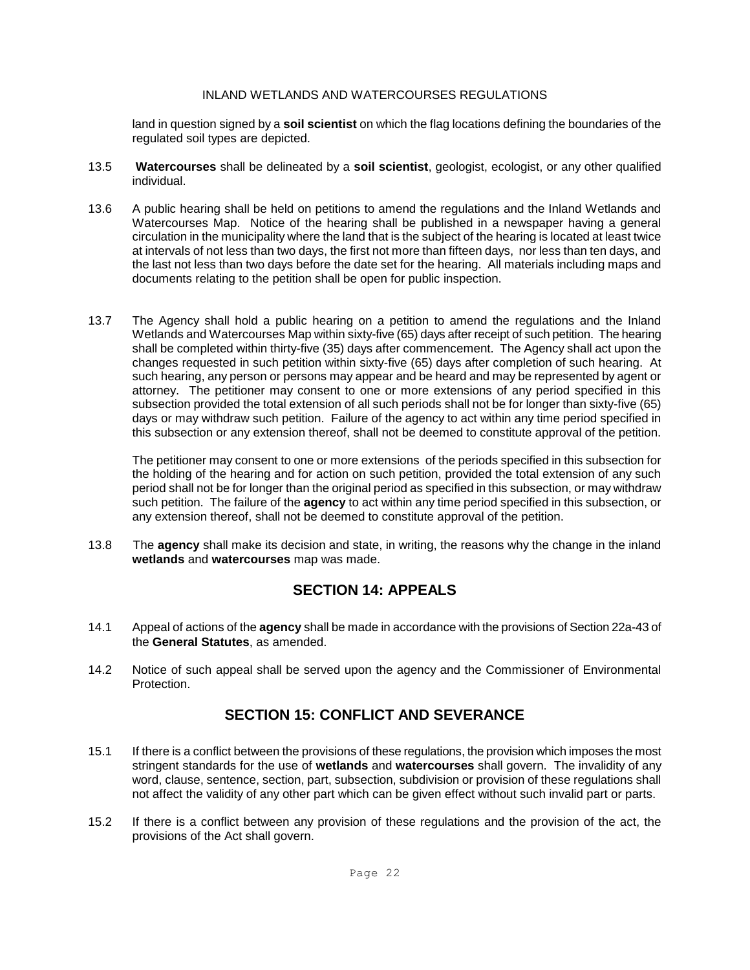land in question signed by a **soil scientist** on which the flag locations defining the boundaries of the regulated soil types are depicted.

- 13.5 **Watercourses** shall be delineated by a **soil scientist**, geologist, ecologist, or any other qualified individual.
- 13.6 A public hearing shall be held on petitions to amend the regulations and the Inland Wetlands and Watercourses Map. Notice of the hearing shall be published in a newspaper having a general circulation in the municipality where the land that is the subject of the hearing is located at least twice at intervals of not less than two days, the first not more than fifteen days, nor less than ten days, and the last not less than two days before the date set for the hearing. All materials including maps and documents relating to the petition shall be open for public inspection.
- 13.7 The Agency shall hold a public hearing on a petition to amend the regulations and the Inland Wetlands and Watercourses Map within sixty-five (65) days after receipt of such petition. The hearing shall be completed within thirty-five (35) days after commencement. The Agency shall act upon the changes requested in such petition within sixty-five (65) days after completion of such hearing. At such hearing, any person or persons may appear and be heard and may be represented by agent or attorney. The petitioner may consent to one or more extensions of any period specified in this subsection provided the total extension of all such periods shall not be for longer than sixty-five (65) days or may withdraw such petition. Failure of the agency to act within any time period specified in this subsection or any extension thereof, shall not be deemed to constitute approval of the petition.

The petitioner may consent to one or more extensions of the periods specified in this subsection for the holding of the hearing and for action on such petition, provided the total extension of any such period shall not be for longer than the original period as specified in this subsection, or may withdraw such petition. The failure of the **agency** to act within any time period specified in this subsection, or any extension thereof, shall not be deemed to constitute approval of the petition.

13.8 The **agency** shall make its decision and state, in writing, the reasons why the change in the inland **wetlands** and **watercourses** map was made.

## **SECTION 14: APPEALS**

- 14.1 Appeal of actions of the **agency** shall be made in accordance with the provisions of Section 22a-43 of the **General Statutes**, as amended.
- 14.2 Notice of such appeal shall be served upon the agency and the Commissioner of Environmental **Protection**

## **SECTION 15: CONFLICT AND SEVERANCE**

- 15.1 If there is a conflict between the provisions of these regulations, the provision which imposes the most stringent standards for the use of **wetlands** and **watercourses** shall govern. The invalidity of any word, clause, sentence, section, part, subsection, subdivision or provision of these regulations shall not affect the validity of any other part which can be given effect without such invalid part or parts.
- 15.2 If there is a conflict between any provision of these regulations and the provision of the act, the provisions of the Act shall govern.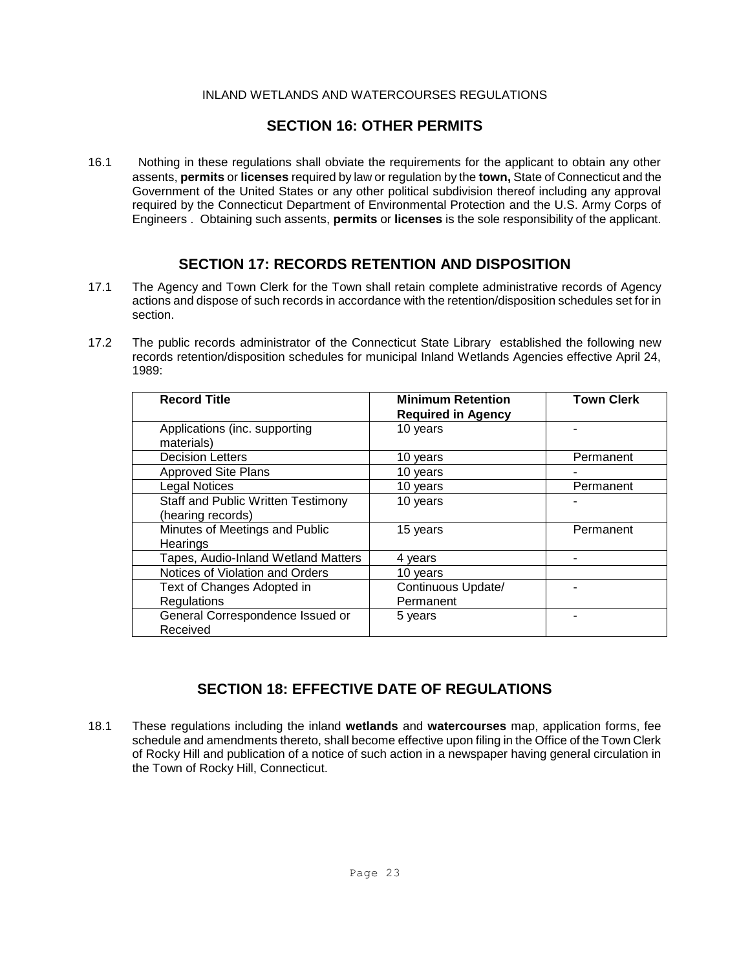### **SECTION 16: OTHER PERMITS**

16.1 Nothing in these regulations shall obviate the requirements for the applicant to obtain any other assents, **permits** or **licenses** required by law or regulation by the **town,** State of Connecticut and the Government of the United States or any other political subdivision thereof including any approval required by the Connecticut Department of Environmental Protection and the U.S. Army Corps of Engineers . Obtaining such assents, **permits** or **licenses** is the sole responsibility of the applicant.

### **SECTION 17: RECORDS RETENTION AND DISPOSITION**

- 17.1 The Agency and Town Clerk for the Town shall retain complete administrative records of Agency actions and dispose of such records in accordance with the retention/disposition schedules set for in section.
- 17.2 The public records administrator of the Connecticut State Library established the following new records retention/disposition schedules for municipal Inland Wetlands Agencies effective April 24, 1989:

| <b>Record Title</b>                                            | <b>Minimum Retention</b><br><b>Required in Agency</b> | <b>Town Clerk</b> |
|----------------------------------------------------------------|-------------------------------------------------------|-------------------|
| Applications (inc. supporting<br>materials)                    | 10 years                                              |                   |
| <b>Decision Letters</b>                                        | 10 years                                              | Permanent         |
| <b>Approved Site Plans</b>                                     | 10 years                                              |                   |
| <b>Legal Notices</b>                                           | 10 years                                              | Permanent         |
| <b>Staff and Public Written Testimony</b><br>(hearing records) | 10 years                                              |                   |
| Minutes of Meetings and Public<br>Hearings                     | 15 years                                              | Permanent         |
| <b>Tapes, Audio-Inland Wetland Matters</b>                     | 4 years                                               |                   |
| Notices of Violation and Orders                                | 10 years                                              |                   |
| Text of Changes Adopted in<br>Regulations                      | Continuous Update/<br>Permanent                       |                   |
| General Correspondence Issued or<br>Received                   | 5 years                                               |                   |

## **SECTION 18: EFFECTIVE DATE OF REGULATIONS**

18.1 These regulations including the inland **wetlands** and **watercourses** map, application forms, fee schedule and amendments thereto, shall become effective upon filing in the Office of the Town Clerk of Rocky Hill and publication of a notice of such action in a newspaper having general circulation in the Town of Rocky Hill, Connecticut.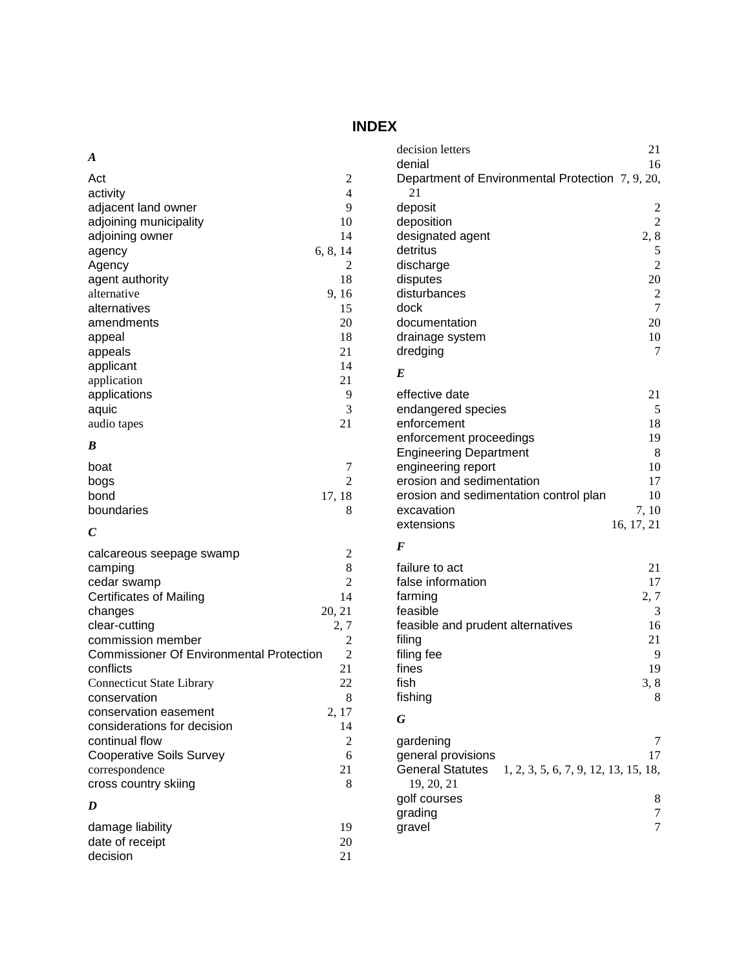# **INDEX**

| A                                               |                | decision letters                                                | 21                      |
|-------------------------------------------------|----------------|-----------------------------------------------------------------|-------------------------|
|                                                 |                | denial                                                          | 16                      |
| Act                                             | $\overline{c}$ | Department of Environmental Protection 7, 9, 20,                |                         |
| activity                                        | 4              | 21                                                              |                         |
| adjacent land owner                             | 9              | deposit                                                         | $\overline{\mathbf{c}}$ |
| adjoining municipality                          | 10             | deposition                                                      | $\overline{c}$          |
| adjoining owner                                 | 14             | designated agent                                                | 2, 8                    |
| agency                                          | 6, 8, 14       | detritus                                                        | 5                       |
| Agency                                          | 2              | discharge                                                       | $\overline{c}$          |
| agent authority                                 | 18             | disputes                                                        | 20                      |
| alternative                                     | 9, 16          | disturbances                                                    | $\overline{c}$          |
| alternatives                                    | 15             | dock                                                            | 7                       |
| amendments                                      | 20             | documentation                                                   | 20                      |
| appeal                                          | 18             | drainage system                                                 | 10                      |
| appeals                                         | 21             | dredging                                                        | $\tau$                  |
| applicant                                       | 14             |                                                                 |                         |
| application                                     | 21             | $\bm E$                                                         |                         |
| applications                                    | 9              | effective date                                                  | 21                      |
| aquic                                           | 3              | endangered species                                              | 5                       |
| audio tapes                                     | 21             | enforcement                                                     | 18                      |
|                                                 |                | enforcement proceedings                                         | 19                      |
| B                                               |                | <b>Engineering Department</b>                                   | 8                       |
| boat                                            | 7              | engineering report                                              | 10                      |
| bogs                                            | $\overline{2}$ | erosion and sedimentation                                       | 17                      |
| bond                                            | 17, 18         | erosion and sedimentation control plan                          | 10                      |
| boundaries                                      | 8              | excavation                                                      | 7,10                    |
|                                                 |                | extensions                                                      | 16, 17, 21              |
| $\boldsymbol{C}$                                |                |                                                                 |                         |
| calcareous seepage swamp                        | $\overline{c}$ | $\bm{F}$                                                        |                         |
| camping                                         | 8              | failure to act                                                  | 21                      |
| cedar swamp                                     | 2              | false information                                               | 17                      |
| <b>Certificates of Mailing</b>                  | 14             | farming                                                         | 2, 7                    |
| changes                                         | 20, 21         | feasible                                                        | 3                       |
| clear-cutting                                   | 2,7            | feasible and prudent alternatives                               | 16                      |
| commission member                               | 2              |                                                                 | 21                      |
| <b>Commissioner Of Environmental Protection</b> |                | filing                                                          | 9                       |
| conflicts                                       | 2<br>21        | filing fee                                                      | 19                      |
|                                                 |                | fines                                                           |                         |
| <b>Connecticut State Library</b>                | 22             | fish                                                            | 3, 8                    |
| conservation                                    | 8              | fishing                                                         | 8                       |
| conservation easement                           | 2, 17          | G                                                               |                         |
| considerations for decision                     | 14             |                                                                 |                         |
| continual flow                                  | 2              | gardening                                                       | 7                       |
| <b>Cooperative Soils Survey</b>                 | 6              | general provisions                                              | 17                      |
| correspondence                                  | 21             | <b>General Statutes</b><br>1, 2, 3, 5, 6, 7, 9, 12, 13, 15, 18, |                         |
| cross country skiing                            | 8              | 19, 20, 21                                                      |                         |
| D                                               |                | golf courses                                                    | 8                       |
|                                                 |                | grading                                                         | $\tau$                  |
| damage liability                                | 19             | gravel                                                          | $\tau$                  |
| date of receipt                                 | 20             |                                                                 |                         |
| decision                                        | 21             |                                                                 |                         |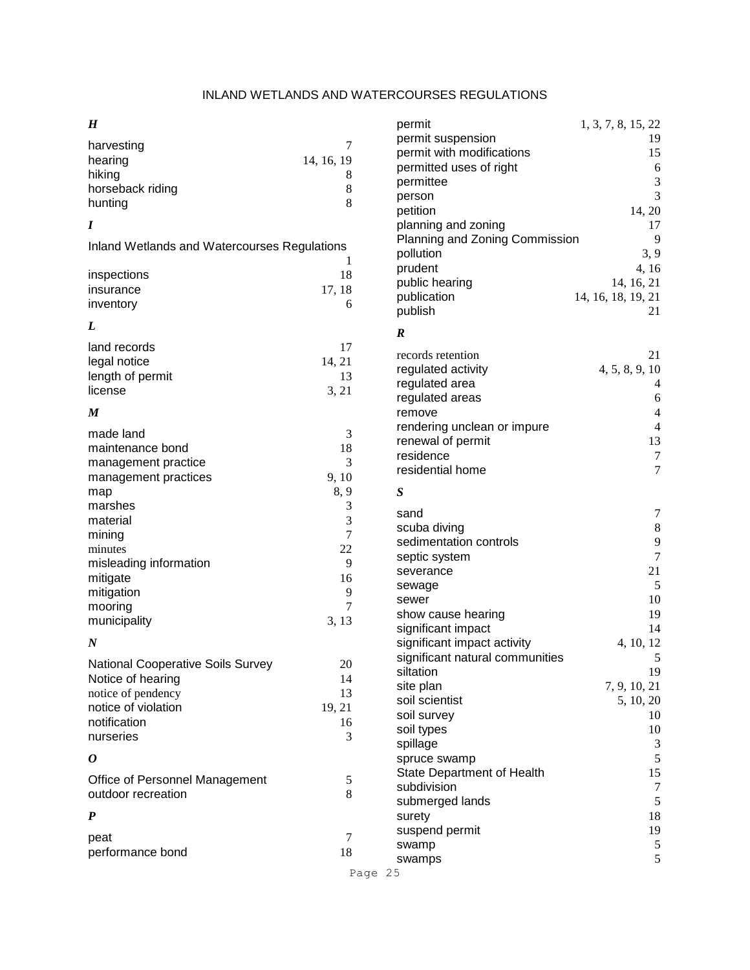*H*

|                                              |            |                                 | 1, 0, 10, 22             |
|----------------------------------------------|------------|---------------------------------|--------------------------|
| harvesting                                   | 7          | permit suspension               | 19                       |
| hearing                                      | 14, 16, 19 | permit with modifications       | 15                       |
| hiking                                       | 8          | permitted uses of right         | 6                        |
| horseback riding                             | 8          | permittee                       | 3                        |
| hunting                                      | 8          | person                          | 3                        |
|                                              |            | petition                        | 14, 20                   |
| I                                            |            | planning and zoning             | 17                       |
| Inland Wetlands and Watercourses Regulations |            | Planning and Zoning Commission  | 9                        |
|                                              | 1          | pollution                       | 3, 9                     |
| inspections                                  | 18         | prudent                         | 4, 16                    |
| insurance                                    | 17, 18     | public hearing                  | 14, 16, 21               |
| inventory                                    | 6          | publication                     | 14, 16, 18, 19, 21       |
|                                              |            | publish                         | 21                       |
| L                                            |            | $\boldsymbol{R}$                |                          |
| land records                                 | 17         |                                 |                          |
| legal notice                                 | 14, 21     | records retention               | 21                       |
| length of permit                             | 13         | regulated activity              | 4, 5, 8, 9, 10           |
| license                                      | 3, 21      | regulated area                  | $\overline{4}$           |
|                                              |            | regulated areas                 | 6                        |
| $\boldsymbol{M}$                             |            | remove                          | $\overline{\mathcal{L}}$ |
|                                              |            | rendering unclean or impure     | $\overline{4}$           |
| made land                                    | 3          | renewal of permit               | 13                       |
| maintenance bond                             | 18<br>3    | residence                       | $\overline{7}$           |
| management practice                          |            | residential home                | 7                        |
| management practices                         | 9, 10      |                                 |                          |
| map                                          | 8, 9       | $\boldsymbol{S}$                |                          |
| marshes                                      | 3          | sand                            | 7                        |
| material                                     | 3          | scuba diving                    | 8                        |
| mining                                       | 7          | sedimentation controls          | 9                        |
| minutes                                      | 22         | septic system                   | $\overline{7}$           |
| misleading information                       | 9          | severance                       | 21                       |
| mitigate                                     | 16         | sewage                          | 5                        |
| mitigation                                   | 9          | sewer                           | 10                       |
| mooring                                      | 7          | show cause hearing              | 19                       |
| municipality                                 | 3, 13      | significant impact              | 14                       |
| $\boldsymbol{N}$                             |            | significant impact activity     | 4, 10, 12                |
|                                              |            | significant natural communities | 5                        |
| National Cooperative Soils Survey            | 20         | siltation                       | 19                       |
| Notice of hearing                            | 14         | site plan                       | 7, 9, 10, 21             |
| notice of pendency                           | 13         | soil scientist                  | 5, 10, 20                |
| notice of violation                          | 19, 21     | soil survey                     | 10                       |
| notification                                 | 16         | soil types                      | 10                       |
| nurseries                                    | 3          | spillage                        | 3                        |
| 0                                            |            | spruce swamp                    | 5                        |
|                                              |            | State Department of Health      | 15                       |
| Office of Personnel Management               | 5          | subdivision                     | $\overline{7}$           |
| outdoor recreation                           | 8          | submerged lands                 | 5                        |
| $\boldsymbol{P}$                             |            | surety                          | 18                       |
|                                              |            | suspend permit                  | 19                       |
| peat                                         | 7          | swamp                           | 5                        |
| performance bond                             | 18         | swamps                          | 5                        |
|                                              |            |                                 |                          |

Page 25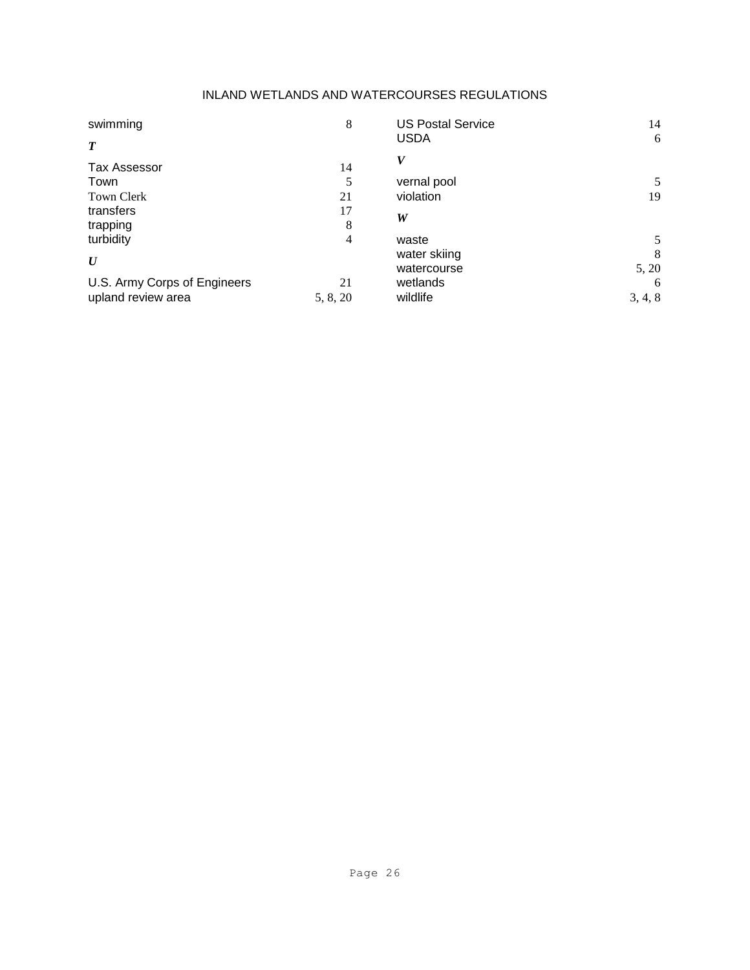| swimming                     | 8        | <b>US Postal Service</b> | 14      |
|------------------------------|----------|--------------------------|---------|
| $\boldsymbol{T}$             |          | <b>USDA</b>              | 6       |
| <b>Tax Assessor</b>          | 14       | V                        |         |
| Town                         | 5        | vernal pool              | 5       |
| <b>Town Clerk</b>            | 21       | violation                | 19      |
| transfers                    | 17       |                          |         |
| trapping                     | 8        | W                        |         |
| turbidity                    | 4        | waste                    | 5       |
| U                            |          | water skiing             | 8       |
|                              |          | watercourse              | 5, 20   |
| U.S. Army Corps of Engineers | 21       | wetlands                 | 6       |
| upland review area           | 5, 8, 20 | wildlife                 | 3, 4, 8 |